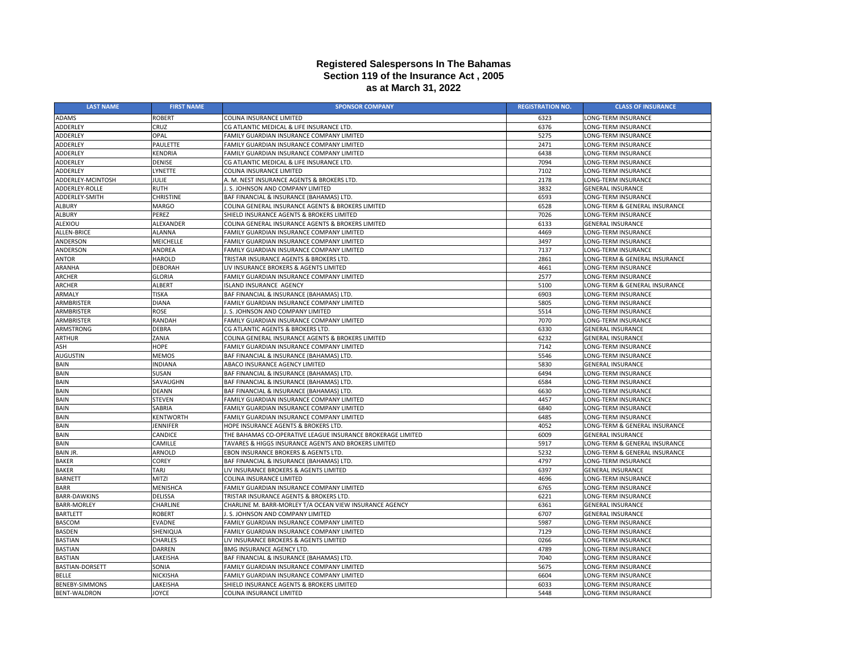| <b>LAST NAME</b>         | <b>FIRST NAME</b> | <b>SPONSOR COMPANY</b>                                      | <b>REGISTRATION NO.</b> | <b>CLASS OF INSURANCE</b>     |
|--------------------------|-------------------|-------------------------------------------------------------|-------------------------|-------------------------------|
| <b>ADAMS</b>             | <b>ROBERT</b>     | <b>COLINA INSURANCE LIMITED</b>                             | 6323                    | LONG-TERM INSURANCE           |
| ADDERLEY                 | CRUZ              | CG ATLANTIC MEDICAL & LIFE INSURANCE LTD.                   | 6376                    | LONG-TERM INSURANCE           |
| ADDERLEY                 | <b>OPAL</b>       | FAMILY GUARDIAN INSURANCE COMPANY LIMITED                   | 5275                    | LONG-TERM INSURANCE           |
| ADDERLEY                 | <b>PAULETTE</b>   | FAMILY GUARDIAN INSURANCE COMPANY LIMITED                   | 2471                    | LONG-TERM INSURANCE           |
| ADDERLEY                 | KENDRIA           | FAMILY GUARDIAN INSURANCE COMPANY LIMITED                   | 6438                    | LONG-TERM INSURANCE           |
| ADDERLEY                 | <b>DENISE</b>     | CG ATLANTIC MEDICAL & LIFE INSURANCE LTD.                   | 7094                    | <b>LONG-TERM INSURANCE</b>    |
| ADDERLEY                 | LYNETTE           | <b>COLINA INSURANCE LIMITED</b>                             | 7102                    | LONG-TERM INSURANCE           |
| <b>ADDERLEY-MCINTOSH</b> | <b>JULIE</b>      | A. M. NEST INSURANCE AGENTS & BROKERS LTD.                  | 2178                    | LONG-TERM INSURANCE           |
| ADDERLEY-ROLLE           | <b>RUTH</b>       | . S. JOHNSON AND COMPANY LIMITED                            | 3832                    | <b>GENERAL INSURANCE</b>      |
| ADDERLEY-SMITH           | <b>CHRISTINE</b>  | BAF FINANCIAL & INSURANCE (BAHAMAS) LTD.                    | 6593                    | LONG-TERM INSURANCE           |
| <b>ALBURY</b>            | MARGO             | COLINA GENERAL INSURANCE AGENTS & BROKERS LIMITED           | 6528                    | LONG-TERM & GENERAL INSURANCE |
| <b>ALBURY</b>            | <b>PEREZ</b>      | SHIELD INSURANCE AGENTS & BROKERS LIMITED                   | 7026                    | LONG-TERM INSURANCE           |
| ALEXIOU                  | ALEXANDER         | COLINA GENERAL INSURANCE AGENTS & BROKERS LIMITED           | 6133                    | <b>GENERAL INSURANCE</b>      |
| <b>ALLEN-BRICE</b>       | <b>ALANNA</b>     | FAMILY GUARDIAN INSURANCE COMPANY LIMITED                   | 4469                    | LONG-TERM INSURANCE           |
| ANDERSON                 | <b>MEICHELLE</b>  | FAMILY GUARDIAN INSURANCE COMPANY LIMITED                   | 3497                    | LONG-TERM INSURANCE           |
| ANDERSON                 | <b>ANDREA</b>     | FAMILY GUARDIAN INSURANCE COMPANY LIMITED                   | 7137                    | LONG-TERM INSURANCE           |
| <b>ANTOR</b>             | <b>HAROLD</b>     | TRISTAR INSURANCE AGENTS & BROKERS LTD.                     | 2861                    | LONG-TERM & GENERAL INSURANCE |
| <b>ARANHA</b>            | <b>DEBORAH</b>    | LIV INSURANCE BROKERS & AGENTS LIMITED                      | 4661                    | LONG-TERM INSURANCE           |
| <b>ARCHER</b>            | <b>GLORIA</b>     | FAMILY GUARDIAN INSURANCE COMPANY LIMITED                   | 2577                    | LONG-TERM INSURANCE           |
| <b>ARCHER</b>            | <b>ALBERT</b>     | ISLAND INSURANCE AGENCY                                     | 5100                    | LONG-TERM & GENERAL INSURANCE |
| <b>ARMALY</b>            | <b>TISKA</b>      | BAF FINANCIAL & INSURANCE (BAHAMAS) LTD.                    | 6903                    | LONG-TERM INSURANCE           |
| ARMBRISTER               | <b>DIANA</b>      | FAMILY GUARDIAN INSURANCE COMPANY LIMITED                   | 5805                    | LONG-TERM INSURANCE           |
| ARMBRISTER               | <b>ROSE</b>       | J. S. JOHNSON AND COMPANY LIMITED                           | 5514                    | LONG-TERM INSURANCE           |
| ARMBRISTER               | <b>RANDAH</b>     | FAMILY GUARDIAN INSURANCE COMPANY LIMITED                   | 7070                    | LONG-TERM INSURANCE           |
| ARMSTRONG                | <b>DEBRA</b>      | CG ATLANTIC AGENTS & BROKERS LTD.                           | 6330                    | <b>GENERAL INSURANCE</b>      |
| <b>ARTHUR</b>            | ZANIA             | COLINA GENERAL INSURANCE AGENTS & BROKERS LIMITED           | 6232                    | <b>GENERAL INSURANCE</b>      |
| <b>ASH</b>               | <b>HOPE</b>       | FAMILY GUARDIAN INSURANCE COMPANY LIMITED                   | 7142                    | LONG-TERM INSURANCE           |
| AUGUSTIN                 | <b>MEMOS</b>      | BAF FINANCIAL & INSURANCE (BAHAMAS) LTD.                    | 5546                    | LONG-TERM INSURANCE           |
| <b>BAIN</b>              | <b>INDIANA</b>    | ABACO INSURANCE AGENCY LIMITED                              | 5830                    | <b>GENERAL INSURANCE</b>      |
| <b>BAIN</b>              | <b>SUSAN</b>      | BAF FINANCIAL & INSURANCE (BAHAMAS) LTD.                    | 6494                    | LONG-TERM INSURANCE           |
| <b>BAIN</b>              | SAVAUGHN          | BAF FINANCIAL & INSURANCE (BAHAMAS) LTD.                    | 6584                    | LONG-TERM INSURANCE           |
| <b>BAIN</b>              | <b>DEANN</b>      | BAF FINANCIAL & INSURANCE (BAHAMAS) LTD.                    | 6630                    | LONG-TERM INSURANCE           |
| <b>BAIN</b>              | <b>STEVEN</b>     | FAMILY GUARDIAN INSURANCE COMPANY LIMITED                   | 4457                    | LONG-TERM INSURANCE           |
| <b>BAIN</b>              | SABRIA            | FAMILY GUARDIAN INSURANCE COMPANY LIMITED                   | 6840                    | LONG-TERM INSURANCE           |
| <b>BAIN</b>              | <b>KENTWORTH</b>  | FAMILY GUARDIAN INSURANCE COMPANY LIMITED                   | 6485                    | LONG-TERM INSURANCE           |
| <b>BAIN</b>              | <b>JENNIFER</b>   | <b>HOPE INSURANCE AGENTS &amp; BROKERS LTD.</b>             | 4052                    | LONG-TERM & GENERAL INSURANCE |
| <b>BAIN</b>              | <b>CANDICE</b>    | THE BAHAMAS CO-OPERATIVE LEAGUE INSURANCE BROKERAGE LIMITED | 6009                    | <b>GENERAL INSURANCE</b>      |
| <b>BAIN</b>              | <b>CAMILLE</b>    | TAVARES & HIGGS INSURANCE AGENTS AND BROKERS LIMITED        | 5917                    | LONG-TERM & GENERAL INSURANCE |
| <b>BAIN JR.</b>          | <b>ARNOLD</b>     | EBON INSURANCE BROKERS & AGENTS LTD.                        | 5232                    | LONG-TERM & GENERAL INSURANCE |
| <b>BAKER</b>             | <b>COREY</b>      | BAF FINANCIAL & INSURANCE (BAHAMAS) LTD.                    | 4797                    | LONG-TERM INSURANCE           |
| <b>BAKER</b>             | TARJ              | LIV INSURANCE BROKERS & AGENTS LIMITED                      | 6397                    | <b>GENERAL INSURANCE</b>      |
| <b>BARNETT</b>           | <b>MITZI</b>      | <b>COLINA INSURANCE LIMITED</b>                             | 4696                    | LONG-TERM INSURANCE           |
| <b>BARR</b>              | <b>MENISHCA</b>   | FAMILY GUARDIAN INSURANCE COMPANY LIMITED                   | 6765                    | LONG-TERM INSURANCE           |
| <b>BARR-DAWKINS</b>      | <b>DELISSA</b>    | TRISTAR INSURANCE AGENTS & BROKERS LTD.                     | 6221                    | LONG-TERM INSURANCE           |
| <b>BARR-MORLEY</b>       | <b>CHARLINE</b>   | CHARLINE M. BARR-MORLEY T/A OCEAN VIEW INSURANCE AGENCY     | 6361                    | <b>GENERAL INSURANCE</b>      |
| <b>BARTLETT</b>          | <b>ROBERT</b>     | J. S. JOHNSON AND COMPANY LIMITED                           | 6707                    | <b>GENERAL INSURANCE</b>      |
| <b>BASCOM</b>            | <b>EVADNE</b>     | FAMILY GUARDIAN INSURANCE COMPANY LIMITED                   | 5987                    | LONG-TERM INSURANCE           |
| <b>BASDEN</b>            | SHENIQUA          | FAMILY GUARDIAN INSURANCE COMPANY LIMITED                   | 7129                    | LONG-TERM INSURANCE           |
| <b>BASTIAN</b>           | <b>CHARLES</b>    | LIV INSURANCE BROKERS & AGENTS LIMITED                      | 0266                    | LONG-TERM INSURANCE           |
| <b>BASTIAN</b>           | <b>DARREN</b>     | <b>BMG INSURANCE AGENCY LTD.</b>                            | 4789                    | LONG-TERM INSURANCE           |
| <b>BASTIAN</b>           | LAKEISHA          | BAF FINANCIAL & INSURANCE (BAHAMAS) LTD.                    | 7040                    | LONG-TERM INSURANCE           |
| <b>BASTIAN-DORSETT</b>   | SONIA             | FAMILY GUARDIAN INSURANCE COMPANY LIMITED                   | 5675                    | LONG-TERM INSURANCE           |
| <b>BELLE</b>             | <b>NICKISHA</b>   | FAMILY GUARDIAN INSURANCE COMPANY LIMITED                   | 6604                    | LONG-TERM INSURANCE           |
| <b>BENEBY-SIMMONS</b>    | LAKEISHA          | SHIELD INSURANCE AGENTS & BROKERS LIMITED                   | 6033                    | LONG-TERM INSURANCE           |
| <b>BENT-WALDRON</b>      | <b>JOYCE</b>      | <b>COLINA INSURANCE LIMITED</b>                             | 5448                    | LONG-TERM INSURANCE           |

## **Registered Salespersons In The Bahamas Section 119 of the Insurance Act , 2005 as at March 31, 2022**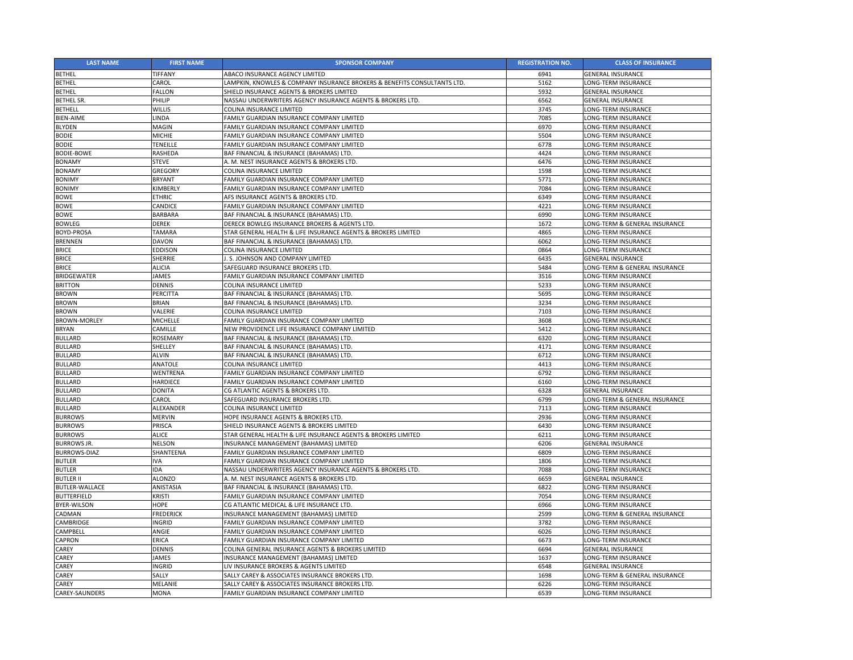| <b>LAST NAME</b>      | <b>FIRST NAME</b> | <b>SPONSOR COMPANY</b>                                                   | <b>REGISTRATION NO.</b> | <b>CLASS OF INSURANCE</b>     |
|-----------------------|-------------------|--------------------------------------------------------------------------|-------------------------|-------------------------------|
| <b>BETHEL</b>         | <b>TIFFANY</b>    | <b>ABACO INSURANCE AGENCY LIMITED</b>                                    | 6941                    | <b>GENERAL INSURANCE</b>      |
| <b>BETHEL</b>         | CAROL             | LAMPKIN, KNOWLES & COMPANY INSURANCE BROKERS & BENEFITS CONSULTANTS LTD. | 5162                    | LONG-TERM INSURANCE           |
| <b>BETHEL</b>         | FALLON            | SHIELD INSURANCE AGENTS & BROKERS LIMITED                                | 5932                    | <b>GENERAL INSURANCE</b>      |
| <b>BETHEL SR.</b>     | <b>PHILIP</b>     | NASSAU UNDERWRITERS AGENCY INSURANCE AGENTS & BROKERS LTD.               | 6562                    | <b>GENERAL INSURANCE</b>      |
| <b>BETHELL</b>        | <b>WILLIS</b>     | COLINA INSURANCE LIMITED                                                 | 3745                    | LONG-TERM INSURANCE           |
| <b>BIEN-AIME</b>      | LINDA             | FAMILY GUARDIAN INSURANCE COMPANY LIMITED                                | 7085                    | <b>LONG-TERM INSURANCE</b>    |
| <b>BLYDEN</b>         | MAGIN             | FAMILY GUARDIAN INSURANCE COMPANY LIMITED                                | 6970                    | LONG-TERM INSURANCE           |
| <b>BODIE</b>          | <b>MICHIE</b>     | FAMILY GUARDIAN INSURANCE COMPANY LIMITED                                | 5504                    | LONG-TERM INSURANCE           |
| <b>BODIE</b>          | <b>TENEILLE</b>   | FAMILY GUARDIAN INSURANCE COMPANY LIMITED                                | 6778                    | LONG-TERM INSURANCE           |
| <b>BODIE-BOWE</b>     | <b>RASHEDA</b>    | BAF FINANCIAL & INSURANCE (BAHAMAS) LTD.                                 | 4424                    | LONG-TERM INSURANCE           |
| <b>BONAMY</b>         | <b>STEVE</b>      | A. M. NEST INSURANCE AGENTS & BROKERS LTD.                               | 6476                    | <b>LONG-TERM INSURANCE</b>    |
| <b>BONAMY</b>         | <b>GREGORY</b>    | COLINA INSURANCE LIMITED                                                 | 1598                    | LONG-TERM INSURANCE           |
| <b>BONIMY</b>         | <b>BRYANT</b>     | FAMILY GUARDIAN INSURANCE COMPANY LIMITED                                | 5771                    | <b>LONG-TERM INSURANCE</b>    |
| <b>BONIMY</b>         | KIMBERLY          | FAMILY GUARDIAN INSURANCE COMPANY LIMITED                                | 7084                    | LONG-TERM INSURANCE           |
| <b>BOWE</b>           | <b>ETHRIC</b>     | AFS INSURANCE AGENTS & BROKERS LTD.                                      | 6349                    | LONG-TERM INSURANCE           |
| <b>BOWE</b>           | <b>CANDICE</b>    | FAMILY GUARDIAN INSURANCE COMPANY LIMITED                                | 4221                    | LONG-TERM INSURANCE           |
| <b>BOWE</b>           | <b>BARBARA</b>    | BAF FINANCIAL & INSURANCE (BAHAMAS) LTD.                                 | 6990                    | LONG-TERM INSURANCE           |
| <b>BOWLEG</b>         | <b>DEREK</b>      | DERECK BOWLEG INSURANCE BROKERS & AGENTS LTD.                            | 1672                    | LONG-TERM & GENERAL INSURANCE |
| <b>BOYD-PROSA</b>     | <b>TAMARA</b>     | STAR GENERAL HEALTH & LIFE INSURANCE AGENTS & BROKERS LIMITED            | 4865                    | LONG-TERM INSURANCE           |
| <b>BRENNEN</b>        | <b>DAVON</b>      | BAF FINANCIAL & INSURANCE (BAHAMAS) LTD.                                 | 6062                    | LONG-TERM INSURANCE           |
| <b>BRICE</b>          | <b>EDDISON</b>    | COLINA INSURANCE LIMITED                                                 | 0864                    | LONG-TERM INSURANCE           |
| <b>BRICE</b>          | <b>SHERRIE</b>    | . S. JOHNSON AND COMPANY LIMITED                                         | 6435                    | <b>GENERAL INSURANCE</b>      |
| <b>BRICE</b>          | <b>ALICIA</b>     | SAFEGUARD INSURANCE BROKERS LTD.                                         | 5484                    | LONG-TERM & GENERAL INSURANCE |
| <b>BRIDGEWATER</b>    | <b>JAMES</b>      | FAMILY GUARDIAN INSURANCE COMPANY LIMITED                                | 3516                    | LONG-TERM INSURANCE           |
| <b>BRITTON</b>        | <b>DENNIS</b>     | <b>COLINA INSURANCE LIMITED</b>                                          | 5233                    | LONG-TERM INSURANCE           |
| <b>BROWN</b>          | PERCITTA          | BAF FINANCIAL & INSURANCE (BAHAMAS) LTD.                                 | 5695                    | LONG-TERM INSURANCE           |
| <b>BROWN</b>          | <b>BRIAN</b>      | BAF FINANCIAL & INSURANCE (BAHAMAS) LTD.                                 | 3234                    | LONG-TERM INSURANCE           |
| <b>BROWN</b>          | VALERIE           | <b>COLINA INSURANCE LIMITED</b>                                          | 7103                    | LONG-TERM INSURANCE           |
| <b>BROWN-MORLEY</b>   | <b>MICHELLE</b>   | FAMILY GUARDIAN INSURANCE COMPANY LIMITED                                | 3608                    | LONG-TERM INSURANCE           |
| <b>BRYAN</b>          | CAMILLE           | NEW PROVIDENCE LIFE INSURANCE COMPANY LIMITED                            | 5412                    | <b>LONG-TERM INSURANCE</b>    |
| <b>BULLARD</b>        | <b>ROSEMARY</b>   | BAF FINANCIAL & INSURANCE (BAHAMAS) LTD.                                 | 6320                    | <b>LONG-TERM INSURANCE</b>    |
| <b>BULLARD</b>        | SHELLEY           | BAF FINANCIAL & INSURANCE (BAHAMAS) LTD.                                 | 4171                    | <b>LONG-TERM INSURANCE</b>    |
| <b>BULLARD</b>        | <b>ALVIN</b>      | BAF FINANCIAL & INSURANCE (BAHAMAS) LTD.                                 | 6712                    | LONG-TERM INSURANCE           |
| <b>BULLARD</b>        | ANATOLE           | COLINA INSURANCE LIMITED                                                 | 4413                    | LONG-TERM INSURANCE           |
| <b>BULLARD</b>        | WENTRENA          | FAMILY GUARDIAN INSURANCE COMPANY LIMITED                                | 6792                    | <b>LONG-TERM INSURANCE</b>    |
| <b>BULLARD</b>        | <b>HARDIECE</b>   | FAMILY GUARDIAN INSURANCE COMPANY LIMITED                                | 6160                    | LONG-TERM INSURANCE           |
| <b>BULLARD</b>        | <b>DONITA</b>     | CG ATLANTIC AGENTS & BROKERS LTD.                                        | 6328                    | <b>GENERAL INSURANCE</b>      |
| <b>BULLARD</b>        | CAROL             | SAFEGUARD INSURANCE BROKERS LTD.                                         | 6799                    | LONG-TERM & GENERAL INSURANCE |
| <b>BULLARD</b>        | ALEXANDER         | COLINA INSURANCE LIMITED                                                 | 7113                    | LONG-TERM INSURANCE           |
| <b>BURROWS</b>        | <b>MERVIN</b>     | HOPE INSURANCE AGENTS & BROKERS LTD.                                     | 2936                    | LONG-TERM INSURANCE           |
| <b>BURROWS</b>        | <b>PRISCA</b>     | SHIELD INSURANCE AGENTS & BROKERS LIMITED                                | 6430                    | LONG-TERM INSURANCE           |
| <b>BURROWS</b>        | <b>ALICE</b>      | STAR GENERAL HEALTH & LIFE INSURANCE AGENTS & BROKERS LIMITED            | 6211                    | LONG-TERM INSURANCE           |
| <b>BURROWS JR.</b>    | <b>NELSON</b>     | INSURANCE MANAGEMENT (BAHAMAS) LIMITED                                   | 6206                    | <b>GENERAL INSURANCE</b>      |
| <b>BURROWS-DIAZ</b>   | SHANTEENA         | FAMILY GUARDIAN INSURANCE COMPANY LIMITED                                | 6809                    | LONG-TERM INSURANCE           |
| <b>BUTLER</b>         | <b>IVA</b>        | FAMILY GUARDIAN INSURANCE COMPANY LIMITED                                | 1806                    | <b>LONG-TERM INSURANCE</b>    |
| <b>BUTLER</b>         | <b>IDA</b>        | NASSAU UNDERWRITERS AGENCY INSURANCE AGENTS & BROKERS LTD.               | 7088                    | LONG-TERM INSURANCE           |
| <b>BUTLER II</b>      | <b>ALONZO</b>     | A. M. NEST INSURANCE AGENTS & BROKERS LTD.                               | 6659                    | <b>GENERAL INSURANCE</b>      |
| <b>BUTLER-WALLACE</b> | ANISTASIA         | BAF FINANCIAL & INSURANCE (BAHAMAS) LTD.                                 | 6822                    | <b>LONG-TERM INSURANCE</b>    |
| <b>BUTTERFIELD</b>    | <b>KRISTI</b>     | FAMILY GUARDIAN INSURANCE COMPANY LIMITED                                | 7054                    | LONG-TERM INSURANCE           |
| <b>BYER-WILSON</b>    | <b>HOPE</b>       | CG ATLANTIC MEDICAL & LIFE INSURANCE LTD.                                | 6966                    | LONG-TERM INSURANCE           |
| <b>CADMAN</b>         | <b>FREDERICK</b>  | INSURANCE MANAGEMENT (BAHAMAS) LIMITED                                   | 2599                    | LONG-TERM & GENERAL INSURANCE |
| <b>CAMBRIDGE</b>      | INGRID            | FAMILY GUARDIAN INSURANCE COMPANY LIMITED                                | 3782                    | LONG-TERM INSURANCE           |
| <b>CAMPBELL</b>       | ANGIE             | FAMILY GUARDIAN INSURANCE COMPANY LIMITED                                | 6026                    | LONG-TERM INSURANCE           |
| <b>CAPRON</b>         | <b>ERICA</b>      | FAMILY GUARDIAN INSURANCE COMPANY LIMITED                                | 6673                    | LONG-TERM INSURANCE           |
| <b>CAREY</b>          | <b>DENNIS</b>     | COLINA GENERAL INSURANCE AGENTS & BROKERS LIMITED                        | 6694                    | <b>GENERAL INSURANCE</b>      |
| <b>CAREY</b>          | JAMES             | INSURANCE MANAGEMENT (BAHAMAS) LIMITED                                   | 1637                    | LONG-TERM INSURANCE           |
| <b>CAREY</b>          | INGRID            | LIV INSURANCE BROKERS & AGENTS LIMITED                                   | 6548                    | <b>GENERAL INSURANCE</b>      |
| <b>CAREY</b>          | SALLY             | SALLY CAREY & ASSOCIATES INSURANCE BROKERS LTD.                          | 1698                    | LONG-TERM & GENERAL INSURANCE |
| <b>CAREY</b>          | <b>MELANIE</b>    | SALLY CAREY & ASSOCIATES INSURANCE BROKERS LTD.                          | 6226                    | LONG-TERM INSURANCE           |
| <b>CAREY-SAUNDERS</b> | MONA              | FAMILY GUARDIAN INSURANCE COMPANY LIMITED                                | 6539                    | LONG-TERM INSURANCE           |
|                       |                   |                                                                          |                         |                               |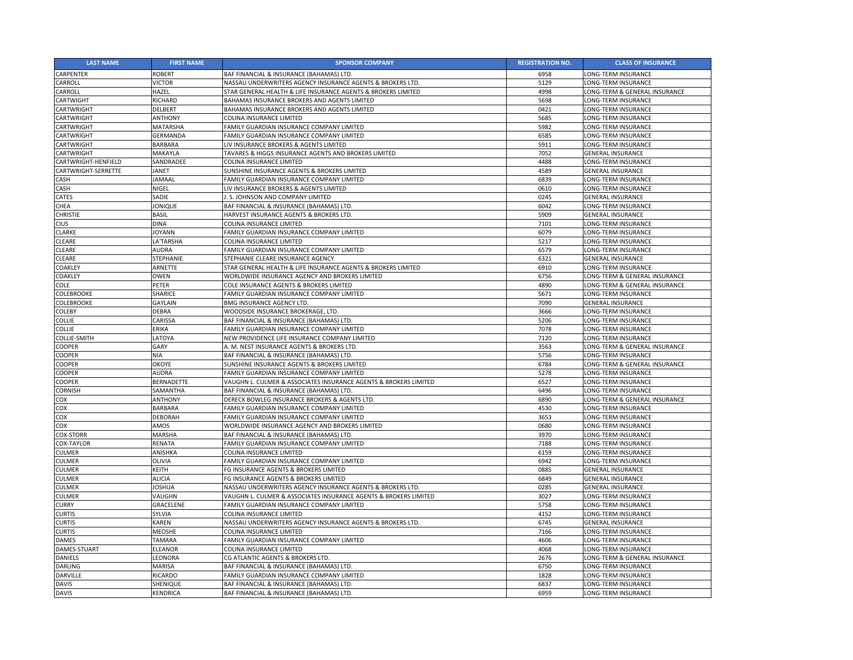| <b>LAST NAME</b>    | <b>FIRST NAME</b> | <b>SPONSOR COMPANY</b>                                           | <b>REGISTRATION NO.</b> | <b>CLASS OF INSURANCE</b>     |
|---------------------|-------------------|------------------------------------------------------------------|-------------------------|-------------------------------|
| <b>CARPENTER</b>    | <b>ROBERT</b>     | BAF FINANCIAL & INSURANCE (BAHAMAS) LTD.                         | 6958                    | LONG-TERM INSURANCE           |
| <b>CARROLL</b>      | <b>VICTOR</b>     | NASSAU UNDERWRITERS AGENCY INSURANCE AGENTS & BROKERS LTD.       | 5129                    | <b>LONG-TERM INSURANCE</b>    |
| <b>CARROLL</b>      | HAZEL             | STAR GENERAL HEALTH & LIFE INSURANCE AGENTS & BROKERS LIMITED    | 4998                    | LONG-TERM & GENERAL INSURANCE |
| <b>CARTWIGHT</b>    | RICHARD           | BAHAMAS INSURANCE BROKERS AND AGENTS LIMITED                     | 5698                    | LONG-TERM INSURANCE           |
| <b>CARTWRIGHT</b>   | <b>DELBERT</b>    | BAHAMAS INSURANCE BROKERS AND AGENTS LIMITED                     | 0421                    | LONG-TERM INSURANCE           |
| <b>CARTWRIGHT</b>   | <b>ANTHONY</b>    | COLINA INSURANCE LIMITED                                         | 5685                    | LONG-TERM INSURANCE           |
| <b>CARTWRIGHT</b>   | <b>MATARSHA</b>   | FAMILY GUARDIAN INSURANCE COMPANY LIMITED                        | 5982                    | LONG-TERM INSURANCE           |
| <b>CARTWRIGHT</b>   | GERMANDA          | FAMILY GUARDIAN INSURANCE COMPANY LIMITED                        | 6585                    | LONG-TERM INSURANCE           |
| <b>CARTWRIGHT</b>   | <b>BARBARA</b>    | LIV INSURANCE BROKERS & AGENTS LIMITED                           | 5911                    | LONG-TERM INSURANCE           |
| <b>CARTWRIGHT</b>   | MAKAYLA           | <b>TAVARES &amp; HIGGS INSURANCE AGENTS AND BROKERS LIMITED</b>  | 7052                    | <b>GENERAL INSURANCE</b>      |
| CARTWRIGHT-HENFIELD | SANDRADEE         | COLINA INSURANCE LIMITED                                         | 4488                    | LONG-TERM INSURANCE           |
| CARTWRIGHT-SERRETTE | <b>JANET</b>      | SUNSHINE INSURANCE AGENTS & BROKERS LIMITED                      | 4589                    | <b>GENERAL INSURANCE</b>      |
| <b>CASH</b>         | JAMAAL            | FAMILY GUARDIAN INSURANCE COMPANY LIMITED                        | 6839                    | LONG-TERM INSURANCE           |
| <b>CASH</b>         | <b>NIGEL</b>      | LIV INSURANCE BROKERS & AGENTS LIMITED                           | 0610                    | LONG-TERM INSURANCE           |
| <b>CATES</b>        | SADIE             | . S. JOHNSON AND COMPANY LIMITED                                 | 0245                    | <b>GENERAL INSURANCE</b>      |
| <b>CHEA</b>         | JONIQUE           | BAF FINANCIAL & INSURANCE (BAHAMAS) LTD.                         | 6042                    | <b>LONG-TERM INSURANCE</b>    |
| <b>CHRISTIE</b>     | <b>BASIL</b>      | HARVEST INSURANCE AGENTS & BROKERS LTD.                          | 5909                    | <b>GENERAL INSURANCE</b>      |
| <b>CIUS</b>         | <b>DINA</b>       | <b>COLINA INSURANCE LIMITED</b>                                  | 7101                    | LONG-TERM INSURANCE           |
| <b>CLARKE</b>       | JOYANN            | FAMILY GUARDIAN INSURANCE COMPANY LIMITED                        | 6079                    | LONG-TERM INSURANCE           |
| <b>CLEARE</b>       | LA'TARSHA         | COLINA INSURANCE LIMITED                                         | 5217                    | LONG-TERM INSURANCE           |
| <b>CLEARE</b>       | AUDRA             | FAMILY GUARDIAN INSURANCE COMPANY LIMITED                        | 6579                    | LONG-TERM INSURANCE           |
| <b>CLEARE</b>       | <b>STEPHANIE</b>  | STEPHANIE CLEARE INSURANCE AGENCY                                | 6321                    | <b>GENERAL INSURANCE</b>      |
| <b>COAKLEY</b>      | ARNETTE           | STAR GENERAL HEALTH & LIFE INSURANCE AGENTS & BROKERS LIMITED    | 6910                    | LONG-TERM INSURANCE           |
| <b>COAKLEY</b>      | <b>OWEN</b>       | WORLDWIDE INSURANCE AGENCY AND BROKERS LIMITED                   | 6756                    | LONG-TERM & GENERAL INSURANCE |
| <b>COLE</b>         | <b>PETER</b>      | COLE INSURANCE AGENTS & BROKERS LIMITED                          | 4890                    | LONG-TERM & GENERAL INSURANCE |
| <b>COLEBROOKE</b>   | <b>SHARICE</b>    | FAMILY GUARDIAN INSURANCE COMPANY LIMITED                        | 5671                    | LONG-TERM INSURANCE           |
| <b>COLEBROOKE</b>   | <b>GAYLAIN</b>    | <b>BMG INSURANCE AGENCY LTD.</b>                                 | 7090                    | <b>GENERAL INSURANCE</b>      |
| <b>COLEBY</b>       | <b>DEBRA</b>      | WOODSIDE INSURANCE BROKERAGE, LTD.                               | 3666                    | LONG-TERM INSURANCE           |
| <b>COLLIE</b>       | CARISSA           | BAF FINANCIAL & INSURANCE (BAHAMAS) LTD.                         | 5206                    | LONG-TERM INSURANCE           |
| <b>COLLIE</b>       | <b>ERIKA</b>      | FAMILY GUARDIAN INSURANCE COMPANY LIMITED                        | 7078                    | LONG-TERM INSURANCE           |
| <b>COLLIE-SMITH</b> | LATOYA            | NEW PROVIDENCE LIFE INSURANCE COMPANY LIMITED                    | 7120                    | LONG-TERM INSURANCE           |
| <b>COOPER</b>       | <b>GARY</b>       | A. M. NEST INSURANCE AGENTS & BROKERS LTD.                       | 3563                    | LONG-TERM & GENERAL INSURANCE |
| <b>COOPER</b>       | <b>NIA</b>        | BAF FINANCIAL & INSURANCE (BAHAMAS) LTD.                         | 5756                    | LONG-TERM INSURANCE           |
| <b>COOPER</b>       | <b>OKOYE</b>      | SUNSHINE INSURANCE AGENTS & BROKERS LIMITED                      | 6784                    | LONG-TERM & GENERAL INSURANCE |
| <b>COOPER</b>       | <b>AUDRA</b>      | FAMILY GUARDIAN INSURANCE COMPANY LIMITED                        | 5278                    | LONG-TERM INSURANCE           |
| <b>COOPER</b>       | <b>BERNADETTE</b> | VAUGHN L. CULMER & ASSOCIATES INSURANCE AGENTS & BROKERS LIMITED | 6527                    | LONG-TERM INSURANCE           |
| <b>CORNISH</b>      | SAMANTHA          | BAF FINANCIAL & INSURANCE (BAHAMAS) LTD.                         | 6496                    | LONG-TERM INSURANCE           |
| <b>COX</b>          | <b>ANTHONY</b>    | DERECK BOWLEG INSURANCE BROKERS & AGENTS LTD.                    | 6890                    | LONG-TERM & GENERAL INSURANCE |
| COX                 | <b>BARBARA</b>    | FAMILY GUARDIAN INSURANCE COMPANY LIMITED                        | 4530                    | <b>LONG-TERM INSURANCE</b>    |
| COX                 | <b>DEBORAH</b>    | FAMILY GUARDIAN INSURANCE COMPANY LIMITED                        | 3653                    | LONG-TERM INSURANCE           |
| <b>COX</b>          | AMOS              | WORLDWIDE INSURANCE AGENCY AND BROKERS LIMITED                   | 0680                    | LONG-TERM INSURANCE           |
| <b>COX-STORR</b>    | MARSHA            | BAF FINANCIAL & INSURANCE (BAHAMAS) LTD.                         | 3970                    | LONG-TERM INSURANCE           |
| <b>COX-TAYLOR</b>   | <b>RENATA</b>     | FAMILY GUARDIAN INSURANCE COMPANY LIMITED                        | 7188                    | LONG-TERM INSURANCE           |
| <b>CULMER</b>       | ANISHKA           | COLINA INSURANCE LIMITED                                         | 6159                    | LONG-TERM INSURANCE           |
| <b>CULMER</b>       | OLIVIA            | FAMILY GUARDIAN INSURANCE COMPANY LIMITED                        | 6942                    | LONG-TERM INSURANCE           |
| <b>CULMER</b>       | <b>KEITH</b>      | FG INSURANCE AGENTS & BROKERS LIMITED                            | 0885                    | <b>GENERAL INSURANCE</b>      |
| <b>CULMER</b>       | <b>ALICIA</b>     | FG INSURANCE AGENTS & BROKERS LIMITED                            | 6849                    | <b>GENERAL INSURANCE</b>      |
| <b>CULMER</b>       | <b>JOSHUA</b>     | NASSAU UNDERWRITERS AGENCY INSURANCE AGENTS & BROKERS LTD.       | 0285                    | <b>GENERAL INSURANCE</b>      |
| <b>CULMER</b>       | VAUGHN            | VAUGHN L. CULMER & ASSOCIATES INSURANCE AGENTS & BROKERS LIMITED | 3027                    | LONG-TERM INSURANCE           |
| <b>CURRY</b>        | <b>GRACELENE</b>  | FAMILY GUARDIAN INSURANCE COMPANY LIMITED                        | 5758                    | LONG-TERM INSURANCE           |
| <b>CURTIS</b>       | SYLVIA            | <b>COLINA INSURANCE LIMITED</b>                                  | 4152                    | LONG-TERM INSURANCE           |
| <b>CURTIS</b>       | <b>KAREN</b>      | NASSAU UNDERWRITERS AGENCY INSURANCE AGENTS & BROKERS LTD.       | 6745                    | <b>GENERAL INSURANCE</b>      |
| <b>CURTIS</b>       | <b>MEOSHE</b>     | <b>COLINA INSURANCE LIMITED</b>                                  | 7166                    | LONG-TERM INSURANCE           |
| <b>DAMES</b>        | <b>TAMARA</b>     | FAMILY GUARDIAN INSURANCE COMPANY LIMITED                        | 4606                    | LONG-TERM INSURANCE           |
| DAMES-STUART        | ELEANOR           | COLINA INSURANCE LIMITED                                         | 4068                    | LONG-TERM INSURANCE           |
| <b>DANIELS</b>      | LEONORA           | CG ATLANTIC AGENTS & BROKERS LTD.                                | 2676                    | LONG-TERM & GENERAL INSURANCE |
| <b>DARLING</b>      | <b>MARISA</b>     | BAF FINANCIAL & INSURANCE (BAHAMAS) LTD.                         | 6750                    | LONG-TERM INSURANCE           |
| <b>DARVILLE</b>     | <b>RICARDO</b>    | FAMILY GUARDIAN INSURANCE COMPANY LIMITED                        | 1828                    | LONG-TERM INSURANCE           |
| <b>DAVIS</b>        | <b>SHENIQUE</b>   | BAF FINANCIAL & INSURANCE (BAHAMAS) LTD.                         | 6837                    | LONG-TERM INSURANCE           |
| <b>DAVIS</b>        | KENDRICA          | BAF FINANCIAL & INSURANCE (BAHAMAS) LTD.                         | 6959                    | LONG-TERM INSURANCE           |
|                     |                   |                                                                  |                         |                               |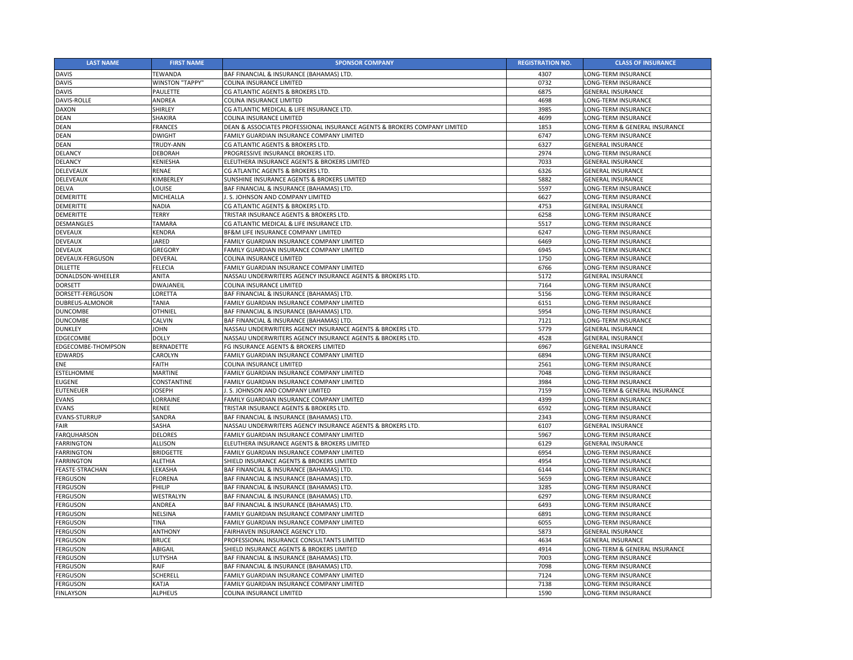| <b>LAST NAME</b>       | <b>FIRST NAME</b>      | <b>SPONSOR COMPANY</b>                                                    | <b>REGISTRATION NO.</b> | <b>CLASS OF INSURANCE</b>     |
|------------------------|------------------------|---------------------------------------------------------------------------|-------------------------|-------------------------------|
| <b>DAVIS</b>           | <b>TEWANDA</b>         | BAF FINANCIAL & INSURANCE (BAHAMAS) LTD.                                  | 4307                    | LONG-TERM INSURANCE           |
| <b>DAVIS</b>           | <b>WINSTON "TAPPY"</b> | COLINA INSURANCE LIMITED                                                  | 0732                    | <b>LONG-TERM INSURANCE</b>    |
| <b>DAVIS</b>           | <b>PAULETTE</b>        | CG ATLANTIC AGENTS & BROKERS LTD.                                         | 6875                    | <b>GENERAL INSURANCE</b>      |
| <b>DAVIS-ROLLE</b>     | <b>ANDREA</b>          | COLINA INSURANCE LIMITED                                                  | 4698                    | LONG-TERM INSURANCE           |
| <b>DAXON</b>           | <b>SHIRLEY</b>         | CG ATLANTIC MEDICAL & LIFE INSURANCE LTD.                                 | 3985                    | LONG-TERM INSURANCE           |
| <b>DEAN</b>            | <b>SHAKIRA</b>         | COLINA INSURANCE LIMITED                                                  | 4699                    | LONG-TERM INSURANCE           |
| <b>DEAN</b>            | <b>FRANCES</b>         | DEAN & ASSOCIATES PROFESSIONAL INSURANCE AGENTS & BROKERS COMPANY LIMITED | 1853                    | LONG-TERM & GENERAL INSURANCE |
| <b>DEAN</b>            | <b>DWIGHT</b>          | FAMILY GUARDIAN INSURANCE COMPANY LIMITED                                 | 6747                    | LONG-TERM INSURANCE           |
| <b>DEAN</b>            | TRUDY-ANN              | CG ATLANTIC AGENTS & BROKERS LTD.                                         | 6327                    | <b>GENERAL INSURANCE</b>      |
| <b>DELANCY</b>         | <b>DEBORAH</b>         | PROGRESSIVE INSURANCE BROKERS LTD.                                        | 2974                    | LONG-TERM INSURANCE           |
| <b>DELANCY</b>         | <b>KENIESHA</b>        | ELEUTHERA INSURANCE AGENTS & BROKERS LIMITED                              | 7033                    | <b>GENERAL INSURANCE</b>      |
| <b>DELEVEAUX</b>       | <b>RENAE</b>           | CG ATLANTIC AGENTS & BROKERS LTD.                                         | 6326                    | <b>GENERAL INSURANCE</b>      |
| <b>DELEVEAUX</b>       | KIMBERLEY              | SUNSHINE INSURANCE AGENTS & BROKERS LIMITED                               | 5882                    | <b>GENERAL INSURANCE</b>      |
| <b>DELVA</b>           | LOUISE                 | BAF FINANCIAL & INSURANCE (BAHAMAS) LTD.                                  | 5597                    | LONG-TERM INSURANCE           |
| <b>DEMERITTE</b>       | <b>MICHEALLA</b>       | J. S. JOHNSON AND COMPANY LIMITED                                         | 6627                    | LONG-TERM INSURANCE           |
| <b>DEMERITTE</b>       | <b>NADIA</b>           | CG ATLANTIC AGENTS & BROKERS LTD.                                         | 4753                    | <b>GENERAL INSURANCE</b>      |
| <b>DEMERITTE</b>       | <b>TERRY</b>           | TRISTAR INSURANCE AGENTS & BROKERS LTD.                                   | 6258                    | LONG-TERM INSURANCE           |
| <b>DESMANGLES</b>      | <b>TAMARA</b>          | CG ATLANTIC MEDICAL & LIFE INSURANCE LTD.                                 | 5517                    | LONG-TERM INSURANCE           |
| <b>DEVEAUX</b>         | <b>KENDRA</b>          | BF&M LIFE INSURANCE COMPANY LIMITED                                       | 6247                    | LONG-TERM INSURANCE           |
| <b>DEVEAUX</b>         | <b>JARED</b>           | FAMILY GUARDIAN INSURANCE COMPANY LIMITED                                 | 6469                    | LONG-TERM INSURANCE           |
| <b>DEVEAUX</b>         | <b>GREGORY</b>         | FAMILY GUARDIAN INSURANCE COMPANY LIMITED                                 | 6945                    | LONG-TERM INSURANCE           |
| DEVEAUX-FERGUSON       | <b>DEVERAL</b>         | COLINA INSURANCE LIMITED                                                  | 1750                    | LONG-TERM INSURANCE           |
| <b>DILLETTE</b>        | <b>FELECIA</b>         | FAMILY GUARDIAN INSURANCE COMPANY LIMITED                                 | 6766                    | LONG-TERM INSURANCE           |
| DONALDSON-WHEELER      | <b>ANITA</b>           | NASSAU UNDERWRITERS AGENCY INSURANCE AGENTS & BROKERS LTD.                | 5172                    | <b>GENERAL INSURANCE</b>      |
| <b>DORSETT</b>         | <b>DWAJANEIL</b>       | COLINA INSURANCE LIMITED                                                  | 7164                    | LONG-TERM INSURANCE           |
| DORSETT-FERGUSON       | LORETTA                | BAF FINANCIAL & INSURANCE (BAHAMAS) LTD.                                  | 5156                    | LONG-TERM INSURANCE           |
| DUBREUS-ALMONOR        | <b>TANIA</b>           | FAMILY GUARDIAN INSURANCE COMPANY LIMITED                                 | 6151                    | LONG-TERM INSURANCE           |
| <b>DUNCOMBE</b>        | <b>OTHNIEL</b>         | BAF FINANCIAL & INSURANCE (BAHAMAS) LTD.                                  | 5954                    | LONG-TERM INSURANCE           |
| <b>DUNCOMBE</b>        | <b>CALVIN</b>          | BAF FINANCIAL & INSURANCE (BAHAMAS) LTD.                                  | 7121                    | LONG-TERM INSURANCE           |
| <b>DUNKLEY</b>         | <b>JOHN</b>            | NASSAU UNDERWRITERS AGENCY INSURANCE AGENTS & BROKERS LTD.                | 5779                    | <b>GENERAL INSURANCE</b>      |
| <b>EDGECOMBE</b>       | <b>DOLLY</b>           | NASSAU UNDERWRITERS AGENCY INSURANCE AGENTS & BROKERS LTD.                | 4528                    | <b>GENERAL INSURANCE</b>      |
| EDGECOMBE-THOMPSON     | <b>BERNADETTE</b>      | FG INSURANCE AGENTS & BROKERS LIMITED                                     | 6967                    | <b>GENERAL INSURANCE</b>      |
| <b>EDWARDS</b>         | CAROLYN                | FAMILY GUARDIAN INSURANCE COMPANY LIMITED                                 | 6894                    | LONG-TERM INSURANCE           |
| <b>ENE</b>             | <b>FAITH</b>           | COLINA INSURANCE LIMITED                                                  | 2561                    | LONG-TERM INSURANCE           |
| <b>ESTELHOMME</b>      | <b>MARTINE</b>         | FAMILY GUARDIAN INSURANCE COMPANY LIMITED                                 | 7048                    | LONG-TERM INSURANCE           |
| <b>EUGENE</b>          | CONSTANTINE            | FAMILY GUARDIAN INSURANCE COMPANY LIMITED                                 | 3984                    | LONG-TERM INSURANCE           |
| <b>EUTENEUER</b>       | <b>JOSEPH</b>          | I.S. JOHNSON AND COMPANY LIMITED                                          | 7159                    | LONG-TERM & GENERAL INSURANCE |
| <b>EVANS</b>           | LORRAINE               | FAMILY GUARDIAN INSURANCE COMPANY LIMITED                                 | 4399                    | LONG-TERM INSURANCE           |
| <b>EVANS</b>           | <b>RENEE</b>           | TRISTAR INSURANCE AGENTS & BROKERS LTD.                                   | 6592                    | LONG-TERM INSURANCE           |
| <b>EVANS-STURRUP</b>   | SANDRA                 | BAF FINANCIAL & INSURANCE (BAHAMAS) LTD.                                  | 2343                    | LONG-TERM INSURANCE           |
| <b>FAIR</b>            | SASHA                  | NASSAU UNDERWRITERS AGENCY INSURANCE AGENTS & BROKERS LTD.                | 6107                    | <b>GENERAL INSURANCE</b>      |
| <b>FARQUHARSON</b>     | <b>DELORES</b>         | FAMILY GUARDIAN INSURANCE COMPANY LIMITED                                 | 5967                    | LONG-TERM INSURANCE           |
| <b>FARRINGTON</b>      | <b>ALLISON</b>         | ELEUTHERA INSURANCE AGENTS & BROKERS LIMITED                              | 6129                    | <b>GENERAL INSURANCE</b>      |
| <b>FARRINGTON</b>      | <b>BRIDGETTE</b>       | FAMILY GUARDIAN INSURANCE COMPANY LIMITED                                 | 6954                    | LONG-TERM INSURANCE           |
| <b>FARRINGTON</b>      | <b>ALETHIA</b>         | SHIELD INSURANCE AGENTS & BROKERS LIMITED                                 | 4954                    | LONG-TERM INSURANCE           |
| <b>FEASTE-STRACHAN</b> | LEKASHA                | BAF FINANCIAL & INSURANCE (BAHAMAS) LTD.                                  | 6144                    | LONG-TERM INSURANCE           |
| <b>FERGUSON</b>        | <b>FLORENA</b>         | BAF FINANCIAL & INSURANCE (BAHAMAS) LTD.                                  | 5659                    | LONG-TERM INSURANCE           |
| <b>FERGUSON</b>        | <b>PHILIP</b>          | BAF FINANCIAL & INSURANCE (BAHAMAS) LTD.                                  | 3285                    | LONG-TERM INSURANCE           |
| <b>FERGUSON</b>        | WESTRALYN              | BAF FINANCIAL & INSURANCE (BAHAMAS) LTD.                                  | 6297                    | LONG-TERM INSURANCE           |
| <b>FERGUSON</b>        | <b>ANDREA</b>          | BAF FINANCIAL & INSURANCE (BAHAMAS) LTD.                                  | 6493                    | LONG-TERM INSURANCE           |
| <b>FERGUSON</b>        | <b>NELSINA</b>         | FAMILY GUARDIAN INSURANCE COMPANY LIMITED                                 | 6891                    | LONG-TERM INSURANCE           |
| <b>FERGUSON</b>        | <b>TINA</b>            | FAMILY GUARDIAN INSURANCE COMPANY LIMITED                                 | 6055                    | LONG-TERM INSURANCE           |
| <b>FERGUSON</b>        | <b>ANTHONY</b>         | FAIRHAVEN INSURANCE AGENCY LTD.                                           | 5873                    | <b>GENERAL INSURANCE</b>      |
| <b>FERGUSON</b>        | <b>BRUCE</b>           | PROFESSIONAL INSURANCE CONSULTANTS LIMITED                                | 4634                    | <b>GENERAL INSURANCE</b>      |
| <b>FERGUSON</b>        | ABIGAIL                | SHIELD INSURANCE AGENTS & BROKERS LIMITED                                 | 4914                    | LONG-TERM & GENERAL INSURANCE |
| <b>FERGUSON</b>        | LUTYSHA                | BAF FINANCIAL & INSURANCE (BAHAMAS) LTD.                                  | 7003                    | LONG-TERM INSURANCE           |
| <b>FERGUSON</b>        | RAIF                   | BAF FINANCIAL & INSURANCE (BAHAMAS) LTD.                                  | 7098                    | LONG-TERM INSURANCE           |
| <b>FERGUSON</b>        | <b>SCHERELL</b>        | FAMILY GUARDIAN INSURANCE COMPANY LIMITED                                 | 7124                    | LONG-TERM INSURANCE           |
| <b>FERGUSON</b>        | <b>KATJA</b>           | FAMILY GUARDIAN INSURANCE COMPANY LIMITED                                 | 7138                    | LONG-TERM INSURANCE           |
| <b>FINLAYSON</b>       | <b>ALPHEUS</b>         | COLINA INSURANCE LIMITED                                                  | 1590                    | LONG-TERM INSURANCE           |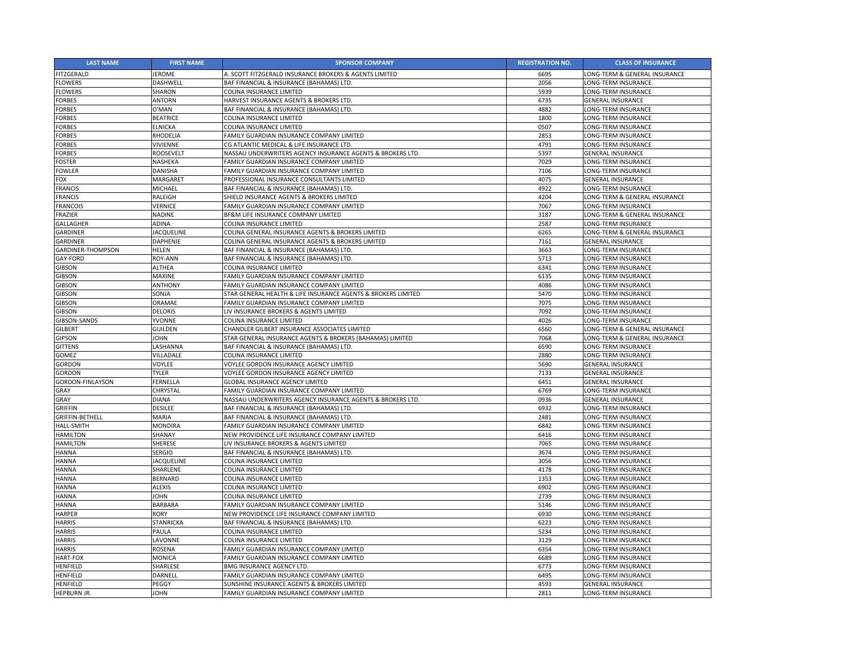| <b>LAST NAME</b>         | <b>FIRST NAME</b> | <b>SPONSOR COMPANY</b>                                        | <b>REGISTRATION NO.</b> | <b>CLASS OF INSURANCE</b>     |
|--------------------------|-------------------|---------------------------------------------------------------|-------------------------|-------------------------------|
| <b>FITZGERALD</b>        | <b>JEROME</b>     | A. SCOTT FITZGERALD INSURANCE BROKERS & AGENTS LIMITED        | 6695                    | LONG-TERM & GENERAL INSURANCE |
| <b>FLOWERS</b>           | <b>DASHWELL</b>   | BAF FINANCIAL & INSURANCE (BAHAMAS) LTD.                      | 2056                    | LONG-TERM INSURANCE           |
| <b>FLOWERS</b>           | <b>SHARON</b>     | COLINA INSURANCE LIMITED                                      | 5939                    | LONG-TERM INSURANCE           |
| <b>FORBES</b>            | <b>ANTORN</b>     | HARVEST INSURANCE AGENTS & BROKERS LTD.                       | 6735                    | <b>GENERAL INSURANCE</b>      |
| <b>FORBES</b>            | O'MAN             | BAF FINANCIAL & INSURANCE (BAHAMAS) LTD.                      | 4882                    | LONG-TERM INSURANCE           |
| <b>FORBES</b>            | <b>BEATRICE</b>   | COLINA INSURANCE LIMITED                                      | 1800                    | LONG-TERM INSURANCE           |
| <b>FORBES</b>            | <b>ELNICKA</b>    | COLINA INSURANCE LIMITED                                      | 0507                    | LONG-TERM INSURANCE           |
| <b>FORBES</b>            | <b>RHODELIA</b>   | FAMILY GUARDIAN INSURANCE COMPANY LIMITED                     | 2853                    | LONG-TERM INSURANCE           |
| <b>FORBES</b>            | <b>VIVIENNE</b>   | CG ATLANTIC MEDICAL & LIFE INSURANCE LTD.                     | 4791                    | LONG-TERM INSURANCE           |
| <b>FORBES</b>            | <b>ROOSEVELT</b>  | NASSAU UNDERWRITERS AGENCY INSURANCE AGENTS & BROKERS LTD.    | 5397                    | <b>GENERAL INSURANCE</b>      |
| <b>FOSTER</b>            | NASHEKA           | FAMILY GUARDIAN INSURANCE COMPANY LIMITED                     | 7029                    | LONG-TERM INSURANCE           |
| <b>FOWLER</b>            | <b>DANISHA</b>    | FAMILY GUARDIAN INSURANCE COMPANY LIMITED                     | 7106                    | LONG-TERM INSURANCE           |
| <b>FOX</b>               | MARGARET          | PROFESSIONAL INSURANCE CONSULTANTS LIMITED                    | 4075                    | <b>GENERAL INSURANCE</b>      |
| <b>FRANCIS</b>           | MICHAEL           | BAF FINANCIAL & INSURANCE (BAHAMAS) LTD.                      | 4922                    | LONG-TERM INSURANCE           |
| <b>FRANCIS</b>           | <b>RALEIGH</b>    | SHIELD INSURANCE AGENTS & BROKERS LIMITED                     | 4204                    | LONG-TERM & GENERAL INSURANCE |
| <b>FRANCOIS</b>          | VERNICE           | FAMILY GUARDIAN INSURANCE COMPANY LIMITED                     | 7067                    | LONG-TERM INSURANCE           |
| <b>FRAZIER</b>           | <b>NADINE</b>     | BF&M LIFE INSURANCE COMPANY LIMITED                           | 3187                    | LONG-TERM & GENERAL INSURANCE |
| <b>GALLAGHER</b>         | <b>ADINA</b>      | <b>COLINA INSURANCE LIMITED</b>                               | 2587                    | LONG-TERM INSURANCE           |
| <b>GARDINER</b>          | <b>JACQUELINE</b> | COLINA GENERAL INSURANCE AGENTS & BROKERS LIMITED             | 6265                    | LONG-TERM & GENERAL INSURANCE |
| <b>GARDINER</b>          | <b>DAPHENIE</b>   | COLINA GENERAL INSURANCE AGENTS & BROKERS LIMITED             | 7161                    | <b>GENERAL INSURANCE</b>      |
| <b>GARDINER-THOMPSON</b> | <b>HELEN</b>      | BAF FINANCIAL & INSURANCE (BAHAMAS) LTD.                      | 3663                    | LONG-TERM INSURANCE           |
| <b>GAY-FORD</b>          | <b>ROY-ANN</b>    | BAF FINANCIAL & INSURANCE (BAHAMAS) LTD.                      | 5713                    | <b>LONG-TERM INSURANCE</b>    |
| <b>GIBSON</b>            | <b>ALTHEA</b>     | <b>COLINA INSURANCE LIMITED</b>                               | 6341                    | LONG-TERM INSURANCE           |
| <b>GIBSON</b>            | <b>MAXINE</b>     | FAMILY GUARDIAN INSURANCE COMPANY LIMITED                     | 6135                    | LONG-TERM INSURANCE           |
| <b>GIBSON</b>            | <b>ANTHONY</b>    | FAMILY GUARDIAN INSURANCE COMPANY LIMITED                     | 4086                    | <b>LONG-TERM INSURANCE</b>    |
| <b>GIBSON</b>            | SONJA             | STAR GENERAL HEALTH & LIFE INSURANCE AGENTS & BROKERS LIMITED | 5470                    | LONG-TERM INSURANCE           |
| <b>GIBSON</b>            | <b>ORAMAE</b>     | FAMILY GUARDIAN INSURANCE COMPANY LIMITED                     | 7075                    | <b>LONG-TERM INSURANCE</b>    |
| <b>GIBSON</b>            | <b>DELORIS</b>    | LIV INSURANCE BROKERS & AGENTS LIMITED                        | 7092                    | LONG-TERM INSURANCE           |
| <b>GIBSON-SANDS</b>      | <b>YVONNE</b>     | COLINA INSURANCE LIMITED                                      | 4026                    | <b>LONG-TERM INSURANCE</b>    |
| <b>GILBERT</b>           | <b>GUILDEN</b>    | CHANDLER GILBERT INSURANCE ASSOCIATES LIMITED                 | 6560                    | LONG-TERM & GENERAL INSURANCE |
| <b>GIPSON</b>            | <b>JOHN</b>       | STAR GENERAL INSURANCE AGENTS & BROKERS (BAHAMAS) LIMITED     | 7068                    | LONG-TERM & GENERAL INSURANCE |
| <b>GITTENS</b>           | LASHANNA          | BAF FINANCIAL & INSURANCE (BAHAMAS) LTD.                      | 6590                    | LONG-TERM INSURANCE           |
| <b>GOMEZ</b>             | VILLADALE         | <b>COLINA INSURANCE LIMITED</b>                               | 2880                    | LONG-TERM INSURANCE           |
| <b>GORDON</b>            | VOYLEE            | VOYLEE GORDON INSURANCE AGENCY LIMITED                        | 5690                    | <b>GENERAL INSURANCE</b>      |
| <b>GORDON</b>            | <b>TYLER</b>      | VOYLEE GORDON INSURANCE AGENCY LIMITED                        | 7133                    | <b>GENERAL INSURANCE</b>      |
| <b>GORDON-FINLAYSON</b>  | FERNELLA          | <b>GLOBAL INSURANCE AGENCY LIMITED</b>                        | 6451                    | <b>GENERAL INSURANCE</b>      |
| <b>GRAY</b>              | CHRYSTAL          | FAMILY GUARDIAN INSURANCE COMPANY LIMITED                     | 6769                    | LONG-TERM INSURANCE           |
| <b>GRAY</b>              | <b>DIANA</b>      | NASSAU UNDERWRITERS AGENCY INSURANCE AGENTS & BROKERS LTD.    | 0936                    | <b>GENERAL INSURANCE</b>      |
| <b>GRIFFIN</b>           | <b>DESILEE</b>    | BAF FINANCIAL & INSURANCE (BAHAMAS) LTD.                      | 6932                    | LONG-TERM INSURANCE           |
| <b>GRIFFIN-BETHELL</b>   | <b>MARIA</b>      | BAF FINANCIAL & INSURANCE (BAHAMAS) LTD.                      | 2481                    | <b>LONG-TERM INSURANCE</b>    |
| <b>HALL-SMITH</b>        | MONDIRA           | FAMILY GUARDIAN INSURANCE COMPANY LIMITED                     | 6842                    | LONG-TERM INSURANCE           |
| <b>HAMILTON</b>          | SHANAY            | NEW PROVIDENCE LIFE INSURANCE COMPANY LIMITED                 | 6416                    | LONG-TERM INSURANCE           |
| <b>HAMILTON</b>          | <b>SHERESE</b>    | LIV INSURANCE BROKERS & AGENTS LIMITED                        | 7065                    | LONG-TERM INSURANCE           |
| <b>HANNA</b>             | <b>SERGIO</b>     | BAF FINANCIAL & INSURANCE (BAHAMAS) LTD.                      | 3674                    | LONG-TERM INSURANCE           |
| <b>HANNA</b>             | JACQUELINE        | <b>COLINA INSURANCE LIMITED</b>                               | 3056                    | <b>LONG-TERM INSURANCE</b>    |
| <b>HANNA</b>             | SHARLENE          | COLINA INSURANCE LIMITED                                      | 4178                    | LONG-TERM INSURANCE           |
| <b>HANNA</b>             | <b>BERNARD</b>    | COLINA INSURANCE LIMITED                                      | 1353                    | LONG-TERM INSURANCE           |
| <b>HANNA</b>             | <b>ALEXIS</b>     | <b>COLINA INSURANCE LIMITED</b>                               | 6902                    | LONG-TERM INSURANCE           |
| <b>HANNA</b>             | <b>JOHN</b>       | <b>COLINA INSURANCE LIMITED</b>                               | 2739                    | LONG-TERM INSURANCE           |
| <b>HANNA</b>             | <b>BARBARA</b>    | FAMILY GUARDIAN INSURANCE COMPANY LIMITED                     | 5146                    | LONG-TERM INSURANCE           |
| <b>HARPER</b>            | <b>RORY</b>       | NEW PROVIDENCE LIFE INSURANCE COMPANY LIMITED                 | 6930                    | <b>LONG-TERM INSURANCE</b>    |
| <b>HARRIS</b>            | <b>STANRICKA</b>  | BAF FINANCIAL & INSURANCE (BAHAMAS) LTD.                      | 6223                    | LONG-TERM INSURANCE           |
| <b>HARRIS</b>            | PAULA             | <b>COLINA INSURANCE LIMITED</b>                               | 5234                    | <b>LONG-TERM INSURANCE</b>    |
| <b>HARRIS</b>            | LAVONNE           | <b>COLINA INSURANCE LIMITED</b>                               | 3129                    | LONG-TERM INSURANCE           |
| <b>HARRIS</b>            | <b>ROSENA</b>     | FAMILY GUARDIAN INSURANCE COMPANY LIMITED                     | 6354                    | LONG-TERM INSURANCE           |
| <b>HART-FOX</b>          | <b>MONICA</b>     | FAMILY GUARDIAN INSURANCE COMPANY LIMITED                     | 6689                    | <b>LONG-TERM INSURANCE</b>    |
| <b>HENFIELD</b>          | <b>SHARLESE</b>   | <b>BMG INSURANCE AGENCY LTD.</b>                              | 6773                    | LONG-TERM INSURANCE           |
| <b>HENFIELD</b>          | <b>DARNELL</b>    | FAMILY GUARDIAN INSURANCE COMPANY LIMITED                     | 6495                    | LONG-TERM INSURANCE           |
| <b>HENFIELD</b>          | PEGGY             | SUNSHINE INSURANCE AGENTS & BROKERS LIMITED                   | 4593                    | <b>GENERAL INSURANCE</b>      |
| HEPBURN JR.              | <b>JOHN</b>       | FAMILY GUARDIAN INSURANCE COMPANY LIMITED                     | 2811                    | LONG-TERM INSURANCE           |
|                          |                   |                                                               |                         |                               |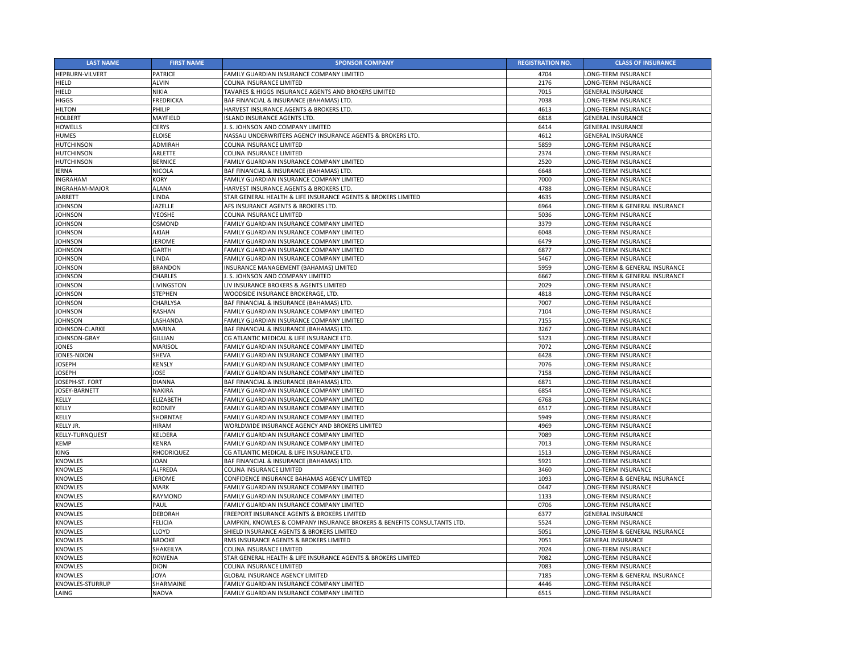| <b>LAST NAME</b>       | <b>FIRST NAME</b> | <b>SPONSOR COMPANY</b>                                                   | <b>REGISTRATION NO.</b> | <b>CLASS OF INSURANCE</b>     |
|------------------------|-------------------|--------------------------------------------------------------------------|-------------------------|-------------------------------|
| <b>HEPBURN-VILVERT</b> | <b>PATRICE</b>    | FAMILY GUARDIAN INSURANCE COMPANY LIMITED                                | 4704                    | LONG-TERM INSURANCE           |
| <b>HIELD</b>           | <b>ALVIN</b>      | COLINA INSURANCE LIMITED                                                 | 2176                    | LONG-TERM INSURANCE           |
| <b>HIELD</b>           | <b>NIKIA</b>      | TAVARES & HIGGS INSURANCE AGENTS AND BROKERS LIMITED                     | 7015                    | <b>GENERAL INSURANCE</b>      |
| <b>HIGGS</b>           | <b>FREDRICKA</b>  | BAF FINANCIAL & INSURANCE (BAHAMAS) LTD.                                 | 7038                    | LONG-TERM INSURANCE           |
| <b>HILTON</b>          | PHILIP            | HARVEST INSURANCE AGENTS & BROKERS LTD.                                  | 4613                    | LONG-TERM INSURANCE           |
| <b>HOLBERT</b>         | MAYFIELD          | <b>SLAND INSURANCE AGENTS LTD.</b>                                       | 6818                    | <b>GENERAL INSURANCE</b>      |
| <b>HOWELLS</b>         | <b>CERYS</b>      | . S. JOHNSON AND COMPANY LIMITED                                         | 6414                    | <b>GENERAL INSURANCE</b>      |
| <b>HUMES</b>           | <b>ELOISE</b>     | NASSAU UNDERWRITERS AGENCY INSURANCE AGENTS & BROKERS LTD.               | 4612                    | <b>GENERAL INSURANCE</b>      |
| <b>HUTCHINSON</b>      | <b>ADMIRAH</b>    | COLINA INSURANCE LIMITED                                                 | 5859                    | LONG-TERM INSURANCE           |
| <b>HUTCHINSON</b>      | <b>ARLETTE</b>    | <b>COLINA INSURANCE LIMITED</b>                                          | 2374                    | LONG-TERM INSURANCE           |
| <b>HUTCHINSON</b>      | <b>BERNICE</b>    | FAMILY GUARDIAN INSURANCE COMPANY LIMITED                                | 2520                    | LONG-TERM INSURANCE           |
| <b>IERNA</b>           | <b>NICOLA</b>     | BAF FINANCIAL & INSURANCE (BAHAMAS) LTD.                                 | 6648                    | <b>LONG-TERM INSURANCE</b>    |
| <b>INGRAHAM</b>        | <b>KORY</b>       | FAMILY GUARDIAN INSURANCE COMPANY LIMITED                                | 7000                    | LONG-TERM INSURANCE           |
| <b>INGRAHAM-MAJOR</b>  | <b>ALANA</b>      | HARVEST INSURANCE AGENTS & BROKERS LTD.                                  | 4788                    | LONG-TERM INSURANCE           |
| <b>JARRETT</b>         | <b>LINDA</b>      | STAR GENERAL HEALTH & LIFE INSURANCE AGENTS & BROKERS LIMITED            | 4635                    | LONG-TERM INSURANCE           |
| <b>JOHNSON</b>         | <b>JAZELLE</b>    | AFS INSURANCE AGENTS & BROKERS LTD.                                      | 6964                    | LONG-TERM & GENERAL INSURANCE |
| <b>JOHNSON</b>         | <b>VEOSHE</b>     | COLINA INSURANCE LIMITED                                                 | 5036                    | LONG-TERM INSURANCE           |
| <b>JOHNSON</b>         | <b>OSMOND</b>     | FAMILY GUARDIAN INSURANCE COMPANY LIMITED                                | 3379                    | LONG-TERM INSURANCE           |
| <b>JOHNSON</b>         | AKIAH             | FAMILY GUARDIAN INSURANCE COMPANY LIMITED                                | 6048                    | LONG-TERM INSURANCE           |
| <b>JOHNSON</b>         | <b>JEROME</b>     | FAMILY GUARDIAN INSURANCE COMPANY LIMITED                                | 6479                    | LONG-TERM INSURANCE           |
| <b>JOHNSON</b>         | <b>GARTH</b>      | FAMILY GUARDIAN INSURANCE COMPANY LIMITED                                | 6877                    | LONG-TERM INSURANCE           |
| <b>JOHNSON</b>         | <b>LINDA</b>      | FAMILY GUARDIAN INSURANCE COMPANY LIMITED                                | 5467                    | LONG-TERM INSURANCE           |
| <b>JOHNSON</b>         | <b>BRANDON</b>    | INSURANCE MANAGEMENT (BAHAMAS) LIMITED                                   | 5959                    | LONG-TERM & GENERAL INSURANCE |
| <b>JOHNSON</b>         | <b>CHARLES</b>    | J. S. JOHNSON AND COMPANY LIMITED                                        | 6667                    | LONG-TERM & GENERAL INSURANCE |
| <b>JOHNSON</b>         | LIVINGSTON        | LIV INSURANCE BROKERS & AGENTS LIMITED                                   | 2029                    | LONG-TERM INSURANCE           |
| <b>JOHNSON</b>         | <b>STEPHEN</b>    | WOODSIDE INSURANCE BROKERAGE, LTD.                                       | 4818                    | LONG-TERM INSURANCE           |
| <b>JOHNSON</b>         | CHARLYSA          | BAF FINANCIAL & INSURANCE (BAHAMAS) LTD.                                 | 7007                    | LONG-TERM INSURANCE           |
| <b>JOHNSON</b>         | <b>RASHAN</b>     | FAMILY GUARDIAN INSURANCE COMPANY LIMITED                                | 7104                    | <b>LONG-TERM INSURANCE</b>    |
| <b>JOHNSON</b>         | LASHANDA          | FAMILY GUARDIAN INSURANCE COMPANY LIMITED                                | 7155                    | <b>LONG-TERM INSURANCE</b>    |
| JOHNSON-CLARKE         | <b>MARINA</b>     | BAF FINANCIAL & INSURANCE (BAHAMAS) LTD.                                 | 3267                    | LONG-TERM INSURANCE           |
| JOHNSON-GRAY           | <b>GILLIAN</b>    | CG ATLANTIC MEDICAL & LIFE INSURANCE LTD.                                | 5323                    | LONG-TERM INSURANCE           |
| <b>JONES</b>           | <b>MARISOL</b>    | FAMILY GUARDIAN INSURANCE COMPANY LIMITED                                | 7072                    | LONG-TERM INSURANCE           |
| <b>JONES-NIXON</b>     | <b>SHEVA</b>      | FAMILY GUARDIAN INSURANCE COMPANY LIMITED                                | 6428                    | LONG-TERM INSURANCE           |
| <b>JOSEPH</b>          | <b>KENSLY</b>     | FAMILY GUARDIAN INSURANCE COMPANY LIMITED                                | 7076                    | LONG-TERM INSURANCE           |
| <b>JOSEPH</b>          | <b>JOSE</b>       | FAMILY GUARDIAN INSURANCE COMPANY LIMITED                                | 7158                    | LONG-TERM INSURANCE           |
| JOSEPH-ST. FORT        | <b>DIANNA</b>     | BAF FINANCIAL & INSURANCE (BAHAMAS) LTD.                                 | 6871                    | LONG-TERM INSURANCE           |
| JOSEY-BARNETT          | <b>NAKIRA</b>     | FAMILY GUARDIAN INSURANCE COMPANY LIMITED                                | 6854                    | LONG-TERM INSURANCE           |
| <b>KELLY</b>           | <b>ELIZABETH</b>  | FAMILY GUARDIAN INSURANCE COMPANY LIMITED                                | 6768                    | LONG-TERM INSURANCE           |
| <b>KELLY</b>           | <b>RODNEY</b>     | FAMILY GUARDIAN INSURANCE COMPANY LIMITED                                | 6517                    | LONG-TERM INSURANCE           |
| <b>KELLY</b>           | SHORNTAE          | FAMILY GUARDIAN INSURANCE COMPANY LIMITED                                | 5949                    | <b>LONG-TERM INSURANCE</b>    |
| <b>KELLY JR.</b>       | <b>HIRAM</b>      | <b>WORLDWIDE INSURANCE AGENCY AND BROKERS LIMITED</b>                    | 4969                    | LONG-TERM INSURANCE           |
| KELLY-TURNQUEST        | KELDERA           | FAMILY GUARDIAN INSURANCE COMPANY LIMITED                                | 7089                    | LONG-TERM INSURANCE           |
| <b>KEMP</b>            | <b>KENRA</b>      | FAMILY GUARDIAN INSURANCE COMPANY LIMITED                                | 7013                    | LONG-TERM INSURANCE           |
| <b>KING</b>            | <b>RHODRIQUEZ</b> | CG ATLANTIC MEDICAL & LIFE INSURANCE LTD.                                | 1513                    | LONG-TERM INSURANCE           |
| <b>KNOWLES</b>         | <b>JOAN</b>       | BAF FINANCIAL & INSURANCE (BAHAMAS) LTD.                                 | 5921                    | LONG-TERM INSURANCE           |
| <b>KNOWLES</b>         | <b>ALFREDA</b>    | COLINA INSURANCE LIMITED                                                 | 3460                    | LONG-TERM INSURANCE           |
| <b>KNOWLES</b>         | <b>JEROME</b>     | CONFIDENCE INSURANCE BAHAMAS AGENCY LIMITED                              | 1093                    | LONG-TERM & GENERAL INSURANCE |
| <b>KNOWLES</b>         | <b>MARK</b>       | FAMILY GUARDIAN INSURANCE COMPANY LIMITED                                | 0447                    | <b>LONG-TERM INSURANCE</b>    |
| <b>KNOWLES</b>         | RAYMOND           | FAMILY GUARDIAN INSURANCE COMPANY LIMITED                                | 1133                    | LONG-TERM INSURANCE           |
| <b>KNOWLES</b>         | PAUL              | FAMILY GUARDIAN INSURANCE COMPANY LIMITED                                | 0706                    | LONG-TERM INSURANCE           |
| <b>KNOWLES</b>         | <b>DEBORAH</b>    | FREEPORT INSURANCE AGENTS & BROKERS LIMITED                              | 6377                    | <b>GENERAL INSURANCE</b>      |
| <b>KNOWLES</b>         | <b>FELICIA</b>    | LAMPKIN, KNOWLES & COMPANY INSURANCE BROKERS & BENEFITS CONSULTANTS LTD. | 5524                    | LONG-TERM INSURANCE           |
| <b>KNOWLES</b>         | LLOYD             | SHIELD INSURANCE AGENTS & BROKERS LIMITED                                | 5051                    | LONG-TERM & GENERAL INSURANCE |
| <b>KNOWLES</b>         | <b>BROOKE</b>     | RMS INSURANCE AGENTS & BROKERS LIMITED                                   | 7051                    | <b>GENERAL INSURANCE</b>      |
| <b>KNOWLES</b>         | SHAKEILYA         | <b>COLINA INSURANCE LIMITED</b>                                          | 7024                    | LONG-TERM INSURANCE           |
| <b>KNOWLES</b>         | <b>ROWENA</b>     | STAR GENERAL HEALTH & LIFE INSURANCE AGENTS & BROKERS LIMITED            | 7082                    | LONG-TERM INSURANCE           |
| <b>KNOWLES</b>         | <b>DION</b>       | COLINA INSURANCE LIMITED                                                 | 7083                    | LONG-TERM INSURANCE           |
| <b>KNOWLES</b>         | <b>JOYA</b>       | <b>GLOBAL INSURANCE AGENCY LIMITED</b>                                   | 7185                    | LONG-TERM & GENERAL INSURANCE |
| KNOWLES-STURRUP        | SHARMAINE         | FAMILY GUARDIAN INSURANCE COMPANY LIMITED                                | 4446                    | LONG-TERM INSURANCE           |
| LAING                  | <b>NADVA</b>      | FAMILY GUARDIAN INSURANCE COMPANY LIMITED                                | 6515                    | LONG-TERM INSURANCE           |
|                        |                   |                                                                          |                         |                               |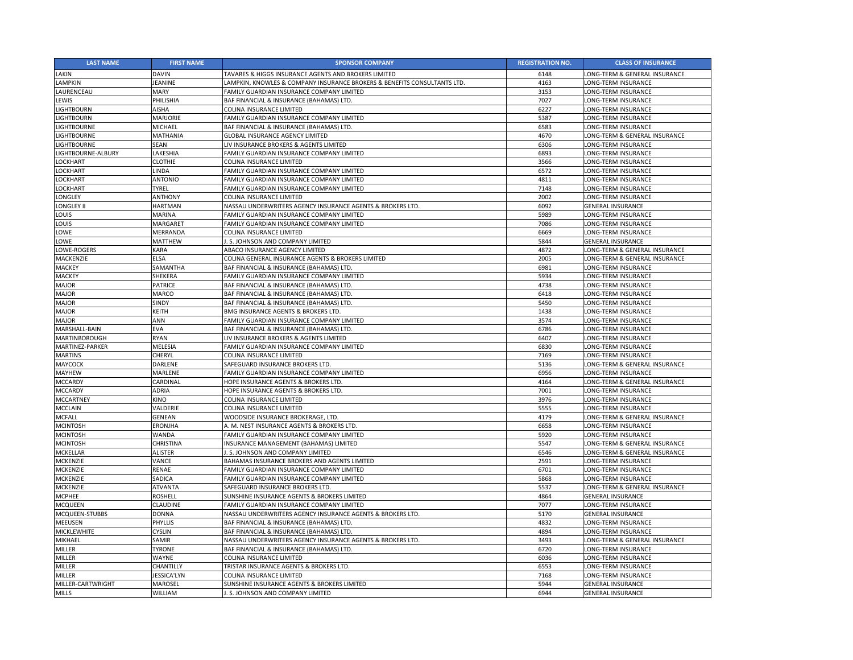| <b>LAST NAME</b>   | <b>FIRST NAME</b>  | <b>SPONSOR COMPANY</b>                                                   | <b>REGISTRATION NO.</b> | <b>CLASS OF INSURANCE</b>     |
|--------------------|--------------------|--------------------------------------------------------------------------|-------------------------|-------------------------------|
| LAKIN              | <b>DAVIN</b>       | <b>TAVARES &amp; HIGGS INSURANCE AGENTS AND BROKERS LIMITED</b>          | 6148                    | LONG-TERM & GENERAL INSURANCE |
| LAMPKIN            | <b>JEANINE</b>     | LAMPKIN, KNOWLES & COMPANY INSURANCE BROKERS & BENEFITS CONSULTANTS LTD. | 4163                    | LONG-TERM INSURANCE           |
| LAURENCEAU         | <b>MARY</b>        | FAMILY GUARDIAN INSURANCE COMPANY LIMITED                                | 3153                    | LONG-TERM INSURANCE           |
| <b>LEWIS</b>       | PHILISHIA          | BAF FINANCIAL & INSURANCE (BAHAMAS) LTD.                                 | 7027                    | LONG-TERM INSURANCE           |
| <b>LIGHTBOURN</b>  | <b>AISHA</b>       | COLINA INSURANCE LIMITED                                                 | 6227                    | LONG-TERM INSURANCE           |
| <b>LIGHTBOURN</b>  | <b>MARJORIE</b>    | FAMILY GUARDIAN INSURANCE COMPANY LIMITED                                | 5387                    | LONG-TERM INSURANCE           |
| <b>LIGHTBOURNE</b> | <b>MICHAEL</b>     | BAF FINANCIAL & INSURANCE (BAHAMAS) LTD.                                 | 6583                    | LONG-TERM INSURANCE           |
| <b>LIGHTBOURNE</b> | MATHANIA           | <b>GLOBAL INSURANCE AGENCY LIMITED</b>                                   | 4670                    | LONG-TERM & GENERAL INSURANCE |
| <b>LIGHTBOURNE</b> | <b>SEAN</b>        | LIV INSURANCE BROKERS & AGENTS LIMITED                                   | 6306                    | LONG-TERM INSURANCE           |
| LIGHTBOURNE-ALBURY | LAKESHIA           | FAMILY GUARDIAN INSURANCE COMPANY LIMITED                                | 6893                    | LONG-TERM INSURANCE           |
| <b>LOCKHART</b>    | <b>CLOTHIE</b>     | COLINA INSURANCE LIMITED                                                 | 3566                    | LONG-TERM INSURANCE           |
| <b>LOCKHART</b>    | LINDA              | FAMILY GUARDIAN INSURANCE COMPANY LIMITED                                | 6572                    | LONG-TERM INSURANCE           |
| <b>LOCKHART</b>    | <b>ANTONIO</b>     | FAMILY GUARDIAN INSURANCE COMPANY LIMITED                                | 4811                    | LONG-TERM INSURANCE           |
| <b>LOCKHART</b>    | <b>TYREL</b>       | FAMILY GUARDIAN INSURANCE COMPANY LIMITED                                | 7148                    | LONG-TERM INSURANCE           |
| <b>LONGLEY</b>     | <b>ANTHONY</b>     | COLINA INSURANCE LIMITED                                                 | 2002                    | LONG-TERM INSURANCE           |
| <b>LONGLEY II</b>  | <b>HARTMAN</b>     | NASSAU UNDERWRITERS AGENCY INSURANCE AGENTS & BROKERS LTD.               | 6092                    | <b>GENERAL INSURANCE</b>      |
| <b>LOUIS</b>       | <b>MARINA</b>      | FAMILY GUARDIAN INSURANCE COMPANY LIMITED                                | 5989                    | LONG-TERM INSURANCE           |
| <b>LOUIS</b>       | MARGARET           | FAMILY GUARDIAN INSURANCE COMPANY LIMITED                                | 7086                    | LONG-TERM INSURANCE           |
| LOWE               | MERRANDA           | COLINA INSURANCE LIMITED                                                 | 6669                    | LONG-TERM INSURANCE           |
| LOWE               | <b>MATTHEW</b>     | .S. JOHNSON AND COMPANY LIMITED                                          | 5844                    | <b>GENERAL INSURANCE</b>      |
| LOWE-ROGERS        | <b>KARA</b>        | ABACO INSURANCE AGENCY LIMITED                                           | 4872                    | LONG-TERM & GENERAL INSURANCE |
| <b>MACKENZIE</b>   | <b>ELSA</b>        | COLINA GENERAL INSURANCE AGENTS & BROKERS LIMITED                        | 2005                    | LONG-TERM & GENERAL INSURANCE |
| <b>MACKEY</b>      | SAMANTHA           | BAF FINANCIAL & INSURANCE (BAHAMAS) LTD.                                 | 6981                    | <b>LONG-TERM INSURANCE</b>    |
| <b>MACKEY</b>      | SHEKERA            | FAMILY GUARDIAN INSURANCE COMPANY LIMITED                                | 5934                    | LONG-TERM INSURANCE           |
| <b>MAJOR</b>       | <b>PATRICE</b>     | BAF FINANCIAL & INSURANCE (BAHAMAS) LTD.                                 | 4738                    | LONG-TERM INSURANCE           |
| <b>MAJOR</b>       | MARCO              | BAF FINANCIAL & INSURANCE (BAHAMAS) LTD.                                 | 6418                    | LONG-TERM INSURANCE           |
| <b>MAJOR</b>       | <b>SINDY</b>       | BAF FINANCIAL & INSURANCE (BAHAMAS) LTD.                                 | 5450                    | LONG-TERM INSURANCE           |
| <b>MAJOR</b>       | <b>KEITH</b>       | <b>BMG INSURANCE AGENTS &amp; BROKERS LTD.</b>                           | 1438                    | <b>LONG-TERM INSURANCE</b>    |
| <b>MAJOR</b>       | <b>ANN</b>         | FAMILY GUARDIAN INSURANCE COMPANY LIMITED                                | 3574                    | LONG-TERM INSURANCE           |
| MARSHALL-BAIN      | <b>EVA</b>         | BAF FINANCIAL & INSURANCE (BAHAMAS) LTD.                                 | 6786                    | LONG-TERM INSURANCE           |
| MARTINBOROUGH      | <b>RYAN</b>        | LIV INSURANCE BROKERS & AGENTS LIMITED                                   | 6407                    | LONG-TERM INSURANCE           |
| MARTINEZ-PARKER    | MELESIA            | FAMILY GUARDIAN INSURANCE COMPANY LIMITED                                | 6830                    | LONG-TERM INSURANCE           |
| <b>MARTINS</b>     | <b>CHERYL</b>      | COLINA INSURANCE LIMITED                                                 | 7169                    | LONG-TERM INSURANCE           |
| <b>MAYCOCK</b>     | <b>DARLENE</b>     | SAFEGUARD INSURANCE BROKERS LTD.                                         | 5136                    | LONG-TERM & GENERAL INSURANCE |
| <b>MAYHEW</b>      | <b>MARLENE</b>     | FAMILY GUARDIAN INSURANCE COMPANY LIMITED                                | 6956                    | <b>LONG-TERM INSURANCE</b>    |
| <b>MCCARDY</b>     | CARDINAL           | <b>HOPE INSURANCE AGENTS &amp; BROKERS LTD.</b>                          | 4164                    | LONG-TERM & GENERAL INSURANCE |
| <b>MCCARDY</b>     | <b>ADRIA</b>       | HOPE INSURANCE AGENTS & BROKERS LTD.                                     | 7001                    | LONG-TERM INSURANCE           |
| <b>MCCARTNEY</b>   | <b>KINO</b>        | COLINA INSURANCE LIMITED                                                 | 3976                    | <b>LONG-TERM INSURANCE</b>    |
| <b>MCCLAIN</b>     | VALDERIE           | COLINA INSURANCE LIMITED                                                 | 5555                    | LONG-TERM INSURANCE           |
| <b>MCFALL</b>      | <b>GENEAN</b>      | WOODSIDE INSURANCE BROKERAGE, LTD.                                       | 4179                    | LONG-TERM & GENERAL INSURANCE |
| <b>MCINTOSH</b>    | <b>ERONJHA</b>     | A. M. NEST INSURANCE AGENTS & BROKERS LTD.                               | 6658                    | <b>LONG-TERM INSURANCE</b>    |
| <b>MCINTOSH</b>    | <b>WANDA</b>       | FAMILY GUARDIAN INSURANCE COMPANY LIMITED                                | 5920                    | LONG-TERM INSURANCE           |
| <b>MCINTOSH</b>    | <b>CHRISTINA</b>   | INSURANCE MANAGEMENT (BAHAMAS) LIMITED                                   | 5547                    | LONG-TERM & GENERAL INSURANCE |
| <b>MCKELLAR</b>    | <b>ALISTER</b>     | .S. JOHNSON AND COMPANY LIMITED                                          | 6546                    | LONG-TERM & GENERAL INSURANCE |
| <b>MCKENZIE</b>    | <b>VANCE</b>       | <b>BAHAMAS INSURANCE BROKERS AND AGENTS LIMITED</b>                      | 2591                    | LONG-TERM INSURANCE           |
| <b>MCKENZIE</b>    | <b>RENAE</b>       | FAMILY GUARDIAN INSURANCE COMPANY LIMITED                                | 6701                    | LONG-TERM INSURANCE           |
| <b>MCKENZIE</b>    | SADICA             | FAMILY GUARDIAN INSURANCE COMPANY LIMITED                                | 5868                    | LONG-TERM INSURANCE           |
| <b>MCKENZIE</b>    | <b>ATVANTA</b>     | SAFEGUARD INSURANCE BROKERS LTD.                                         | 5537                    | LONG-TERM & GENERAL INSURANCE |
| <b>MCPHEE</b>      | <b>ROSHELL</b>     | SUNSHINE INSURANCE AGENTS & BROKERS LIMITED                              | 4864                    | <b>GENERAL INSURANCE</b>      |
| <b>MCQUEEN</b>     | <b>CLAUDINE</b>    | FAMILY GUARDIAN INSURANCE COMPANY LIMITED                                | 7077                    | <b>LONG-TERM INSURANCE</b>    |
| MCQUEEN-STUBBS     | <b>DONNA</b>       | NASSAU UNDERWRITERS AGENCY INSURANCE AGENTS & BROKERS LTD.               | 5170                    | <b>GENERAL INSURANCE</b>      |
| <b>MEEUSEN</b>     | <b>PHYLLIS</b>     | BAF FINANCIAL & INSURANCE (BAHAMAS) LTD.                                 | 4832                    | LONG-TERM INSURANCE           |
| <b>MICKLEWHITE</b> | <b>CYSLIN</b>      | BAF FINANCIAL & INSURANCE (BAHAMAS) LTD.                                 | 4894                    | LONG-TERM INSURANCE           |
| <b>MIKHAEL</b>     | SAMIR              | NASSAU UNDERWRITERS AGENCY INSURANCE AGENTS & BROKERS LTD.               | 3493                    | LONG-TERM & GENERAL INSURANCE |
| <b>MILLER</b>      | <b>TYRONE</b>      | BAF FINANCIAL & INSURANCE (BAHAMAS) LTD.                                 | 6720                    | LONG-TERM INSURANCE           |
| <b>MILLER</b>      | <b>WAYNE</b>       | <b>COLINA INSURANCE LIMITED</b>                                          | 6036                    | LONG-TERM INSURANCE           |
| <b>MILLER</b>      | CHANTILLY          | TRISTAR INSURANCE AGENTS & BROKERS LTD.                                  | 6553                    | LONG-TERM INSURANCE           |
| <b>MILLER</b>      | <b>JESSICA'LYN</b> | COLINA INSURANCE LIMITED                                                 | 7168                    | <b>LONG-TERM INSURANCE</b>    |
| MILLER-CARTWRIGHT  | MAROSEL            | <b>SUNSHINE INSURANCE AGENTS &amp; BROKERS LIMITED</b>                   | 5944                    | <b>GENERAL INSURANCE</b>      |
| <b>MILLS</b>       | <b>WILLIAM</b>     | . S. JOHNSON AND COMPANY LIMITED                                         | 6944                    | <b>GENERAL INSURANCE</b>      |
|                    |                    |                                                                          |                         |                               |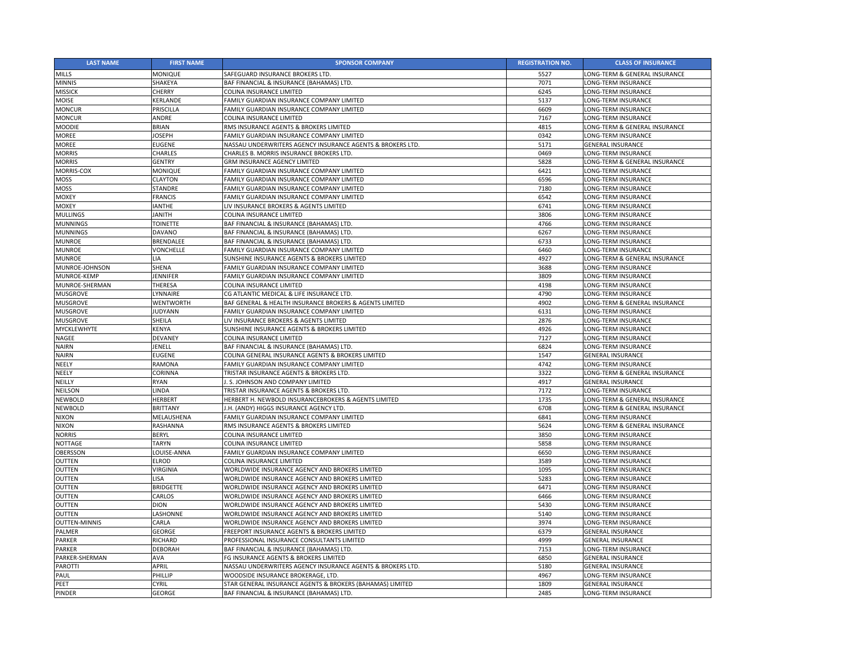| <b>LAST NAME</b>   | <b>FIRST NAME</b> | <b>SPONSOR COMPANY</b>                                     | <b>REGISTRATION NO.</b> | <b>CLASS OF INSURANCE</b>     |
|--------------------|-------------------|------------------------------------------------------------|-------------------------|-------------------------------|
| <b>MILLS</b>       | <b>MONIQUE</b>    | SAFEGUARD INSURANCE BROKERS LTD.                           | 5527                    | LONG-TERM & GENERAL INSURANCE |
| <b>MINNIS</b>      | SHAKEYA           | BAF FINANCIAL & INSURANCE (BAHAMAS) LTD.                   | 7071                    | LONG-TERM INSURANCE           |
| <b>MISSICK</b>     | <b>CHERRY</b>     | COLINA INSURANCE LIMITED                                   | 6245                    | LONG-TERM INSURANCE           |
| <b>MOISE</b>       | KERLANDE          | FAMILY GUARDIAN INSURANCE COMPANY LIMITED                  | 5137                    | LONG-TERM INSURANCE           |
| <b>MONCUR</b>      | <b>PRISCILLA</b>  | FAMILY GUARDIAN INSURANCE COMPANY LIMITED                  | 6609                    | LONG-TERM INSURANCE           |
| <b>MONCUR</b>      | ANDRE             | COLINA INSURANCE LIMITED                                   | 7167                    | LONG-TERM INSURANCE           |
| <b>MOODIE</b>      | <b>BRIAN</b>      | RMS INSURANCE AGENTS & BROKERS LIMITED                     | 4815                    | LONG-TERM & GENERAL INSURANCE |
| <b>MOREE</b>       | <b>JOSEPH</b>     | FAMILY GUARDIAN INSURANCE COMPANY LIMITED                  | 0342                    | LONG-TERM INSURANCE           |
| <b>MOREE</b>       | <b>EUGENE</b>     | NASSAU UNDERWRITERS AGENCY INSURANCE AGENTS & BROKERS LTD. | 5171                    | <b>GENERAL INSURANCE</b>      |
| <b>MORRIS</b>      | <b>CHARLES</b>    | CHARLES B. MORRIS INSURANCE BROKERS LTD.                   | 0469                    | LONG-TERM INSURANCE           |
| <b>MORRIS</b>      | <b>GENTRY</b>     | <b>GRM INSURANCE AGENCY LIMITED</b>                        | 5828                    | LONG-TERM & GENERAL INSURANCE |
| MORRIS-COX         | <b>MONIQUE</b>    | FAMILY GUARDIAN INSURANCE COMPANY LIMITED                  | 6421                    | <b>LONG-TERM INSURANCE</b>    |
| <b>MOSS</b>        | <b>CLAYTON</b>    | FAMILY GUARDIAN INSURANCE COMPANY LIMITED                  | 6596                    | LONG-TERM INSURANCE           |
| <b>MOSS</b>        | <b>STANDRE</b>    | FAMILY GUARDIAN INSURANCE COMPANY LIMITED                  | 7180                    | LONG-TERM INSURANCE           |
| <b>MOXEY</b>       | <b>FRANCIS</b>    | FAMILY GUARDIAN INSURANCE COMPANY LIMITED                  | 6542                    | LONG-TERM INSURANCE           |
| <b>MOXEY</b>       | <b>IANTHE</b>     | LIV INSURANCE BROKERS & AGENTS LIMITED                     | 6741                    | LONG-TERM INSURANCE           |
| <b>MULLINGS</b>    | <b>HTINAL</b>     | <b>COLINA INSURANCE LIMITED</b>                            | 3806                    | LONG-TERM INSURANCE           |
| <b>MUNNINGS</b>    | <b>TOINETTE</b>   | BAF FINANCIAL & INSURANCE (BAHAMAS) LTD.                   | 4766                    | LONG-TERM INSURANCE           |
| <b>MUNNINGS</b>    | <b>DAVANO</b>     | BAF FINANCIAL & INSURANCE (BAHAMAS) LTD.                   | 6267                    | LONG-TERM INSURANCE           |
| <b>MUNROE</b>      | <b>BRENDALEE</b>  | BAF FINANCIAL & INSURANCE (BAHAMAS) LTD.                   | 6733                    | LONG-TERM INSURANCE           |
| <b>MUNROE</b>      | <b>VONCHELLE</b>  | FAMILY GUARDIAN INSURANCE COMPANY LIMITED                  | 6460                    | LONG-TERM INSURANCE           |
| <b>MUNROE</b>      | LIA               | SUNSHINE INSURANCE AGENTS & BROKERS LIMITED                | 4927                    | LONG-TERM & GENERAL INSURANCE |
| MUNROE-JOHNSON     | <b>SHENA</b>      | FAMILY GUARDIAN INSURANCE COMPANY LIMITED                  | 3688                    | LONG-TERM INSURANCE           |
| MUNROE-KEMP        | <b>JENNIFER</b>   | FAMILY GUARDIAN INSURANCE COMPANY LIMITED                  | 3809                    | LONG-TERM INSURANCE           |
| MUNROE-SHERMAN     | <b>THERESA</b>    | COLINA INSURANCE LIMITED                                   | 4198                    | LONG-TERM INSURANCE           |
| <b>MUSGROVE</b>    | LYNNAIRE          | CG ATLANTIC MEDICAL & LIFE INSURANCE LTD.                  | 4790                    | LONG-TERM INSURANCE           |
| <b>MUSGROVE</b>    | <b>WENTWORTH</b>  | BAF GENERAL & HEALTH INSURANCE BROKERS & AGENTS LIMITED    | 4902                    | LONG-TERM & GENERAL INSURANCE |
| <b>MUSGROVE</b>    | <b>JUDYANN</b>    | FAMILY GUARDIAN INSURANCE COMPANY LIMITED                  | 6131                    | LONG-TERM INSURANCE           |
| <b>MUSGROVE</b>    | <b>SHEILA</b>     | LIV INSURANCE BROKERS & AGENTS LIMITED                     | 2876                    | LONG-TERM INSURANCE           |
| <b>MYCKLEWHYTE</b> | <b>KENYA</b>      | SUNSHINE INSURANCE AGENTS & BROKERS LIMITED                | 4926                    | <b>LONG-TERM INSURANCE</b>    |
| <b>NAGEE</b>       | <b>DEVANEY</b>    | <b>COLINA INSURANCE LIMITED</b>                            | 7127                    | LONG-TERM INSURANCE           |
| <b>NAIRN</b>       | JENELL            | BAF FINANCIAL & INSURANCE (BAHAMAS) LTD.                   | 6824                    | LONG-TERM INSURANCE           |
| <b>NAIRN</b>       | <b>EUGENE</b>     | COLINA GENERAL INSURANCE AGENTS & BROKERS LIMITED          | 1547                    | <b>GENERAL INSURANCE</b>      |
| <b>NEELY</b>       | <b>RAMONA</b>     | FAMILY GUARDIAN INSURANCE COMPANY LIMITED                  | 4742                    | LONG-TERM INSURANCE           |
| <b>NEELY</b>       | <b>CORINNA</b>    | TRISTAR INSURANCE AGENTS & BROKERS LTD.                    | 3322                    | LONG-TERM & GENERAL INSURANCE |
| NEILLY             | <b>RYAN</b>       | J. S. JOHNSON AND COMPANY LIMITED                          | 4917                    | <b>GENERAL INSURANCE</b>      |
| <b>NEILSON</b>     | LINDA             | TRISTAR INSURANCE AGENTS & BROKERS LTD.                    | 7172                    | LONG-TERM INSURANCE           |
| <b>NEWBOLD</b>     | <b>HERBERT</b>    | HERBERT H. NEWBOLD INSURANCEBROKERS & AGENTS LIMITED       | 1735                    | LONG-TERM & GENERAL INSURANCE |
| <b>NEWBOLD</b>     | <b>BRITTANY</b>   | J.H. (ANDY) HIGGS INSURANCE AGENCY LTD.                    | 6708                    | LONG-TERM & GENERAL INSURANCE |
| <b>NIXON</b>       | MELAUSHENA        | FAMILY GUARDIAN INSURANCE COMPANY LIMITED                  | 6841                    | LONG-TERM INSURANCE           |
| <b>NIXON</b>       | <b>RASHANNA</b>   | RMS INSURANCE AGENTS & BROKERS LIMITED                     | 5624                    | LONG-TERM & GENERAL INSURANCE |
| <b>NORRIS</b>      | <b>BERYL</b>      | COLINA INSURANCE LIMITED                                   | 3850                    | LONG-TERM INSURANCE           |
| <b>NOTTAGE</b>     | <b>TARYN</b>      | COLINA INSURANCE LIMITED                                   | 5858                    | <b>LONG-TERM INSURANCE</b>    |
| <b>OBERSSON</b>    | LOUISE-ANNA       | FAMILY GUARDIAN INSURANCE COMPANY LIMITED                  | 6650                    | LONG-TERM INSURANCE           |
| <b>OUTTEN</b>      | <b>ELROD</b>      | <b>COLINA INSURANCE LIMITED</b>                            | 3589                    | LONG-TERM INSURANCE           |
| <b>OUTTEN</b>      | <b>VIRGINIA</b>   | WORLDWIDE INSURANCE AGENCY AND BROKERS LIMITED             | 1095                    | LONG-TERM INSURANCE           |
| <b>OUTTEN</b>      | LISA              | WORLDWIDE INSURANCE AGENCY AND BROKERS LIMITED             | 5283                    | LONG-TERM INSURANCE           |
| <b>OUTTEN</b>      | <b>BRIDGETTE</b>  | WORLDWIDE INSURANCE AGENCY AND BROKERS LIMITED             | 6471                    | LONG-TERM INSURANCE           |
| <b>OUTTEN</b>      | <b>CARLOS</b>     | WORLDWIDE INSURANCE AGENCY AND BROKERS LIMITED             | 6466                    | <b>LONG-TERM INSURANCE</b>    |
| <b>OUTTEN</b>      | <b>DION</b>       | WORLDWIDE INSURANCE AGENCY AND BROKERS LIMITED             | 5430                    | <b>LONG-TERM INSURANCE</b>    |
| <b>OUTTEN</b>      | LASHONNE          | WORLDWIDE INSURANCE AGENCY AND BROKERS LIMITED             | 5140                    | LONG-TERM INSURANCE           |
| OUTTEN-MINNIS      | CARLA             | WORLDWIDE INSURANCE AGENCY AND BROKERS LIMITED             | 3974                    | LONG-TERM INSURANCE           |
| <b>PALMER</b>      | <b>GEORGE</b>     | FREEPORT INSURANCE AGENTS & BROKERS LIMITED                | 6379                    | <b>GENERAL INSURANCE</b>      |
| <b>PARKER</b>      | <b>RICHARD</b>    | PROFESSIONAL INSURANCE CONSULTANTS LIMITED                 | 4999                    | <b>GENERAL INSURANCE</b>      |
| <b>PARKER</b>      | <b>DEBORAH</b>    | BAF FINANCIAL & INSURANCE (BAHAMAS) LTD.                   | 7153                    | LONG-TERM INSURANCE           |
| PARKER-SHERMAN     | <b>AVA</b>        | FG INSURANCE AGENTS & BROKERS LIMITED                      | 6850                    | <b>GENERAL INSURANCE</b>      |
| <b>PAROTTI</b>     | <b>APRIL</b>      | NASSAU UNDERWRITERS AGENCY INSURANCE AGENTS & BROKERS LTD. | 5180                    | <b>GENERAL INSURANCE</b>      |
| PAUL               | PHILLIP           | WOODSIDE INSURANCE BROKERAGE, LTD.                         | 4967                    | LONG-TERM INSURANCE           |
| <b>PEET</b>        | <b>CYRIL</b>      | STAR GENERAL INSURANCE AGENTS & BROKERS (BAHAMAS) LIMITED  | 1809                    | <b>GENERAL INSURANCE</b>      |
| <b>PINDER</b>      | <b>GEORGE</b>     | BAF FINANCIAL & INSURANCE (BAHAMAS) LTD.                   | 2485                    | LONG-TERM INSURANCE           |
|                    |                   |                                                            |                         |                               |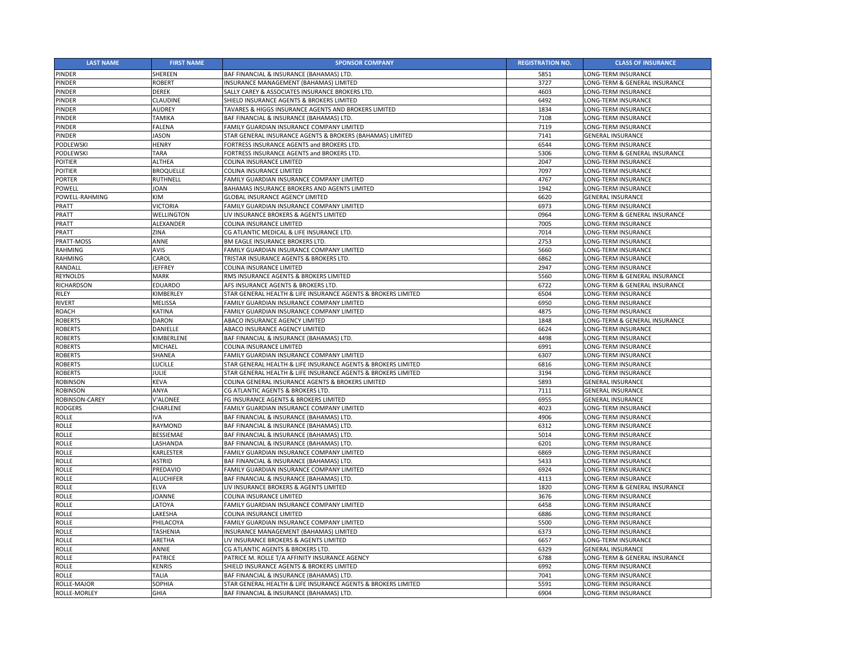| <b>LAST NAME</b>      | <b>FIRST NAME</b> | <b>SPONSOR COMPANY</b>                                        | <b>REGISTRATION NO.</b> | <b>CLASS OF INSURANCE</b>     |
|-----------------------|-------------------|---------------------------------------------------------------|-------------------------|-------------------------------|
| <b>PINDER</b>         | <b>SHEREEN</b>    | BAF FINANCIAL & INSURANCE (BAHAMAS) LTD.                      | 5851                    | LONG-TERM INSURANCE           |
| <b>PINDER</b>         | <b>ROBERT</b>     | INSURANCE MANAGEMENT (BAHAMAS) LIMITED                        | 3727                    | LONG-TERM & GENERAL INSURANCE |
| <b>PINDER</b>         | <b>DEREK</b>      | SALLY CAREY & ASSOCIATES INSURANCE BROKERS LTD.               | 4603                    | LONG-TERM INSURANCE           |
| <b>PINDER</b>         | <b>CLAUDINE</b>   | SHIELD INSURANCE AGENTS & BROKERS LIMITED                     | 6492                    | <b>LONG-TERM INSURANCE</b>    |
| PINDER                | <b>AUDREY</b>     | TAVARES & HIGGS INSURANCE AGENTS AND BROKERS LIMITED          | 1834                    | LONG-TERM INSURANCE           |
| PINDER                | <b>TAMIKA</b>     | BAF FINANCIAL & INSURANCE (BAHAMAS) LTD.                      | 7108                    | LONG-TERM INSURANCE           |
| <b>PINDER</b>         | <b>FALENA</b>     | FAMILY GUARDIAN INSURANCE COMPANY LIMITED                     | 7119                    | <b>LONG-TERM INSURANCE</b>    |
| <b>PINDER</b>         | <b>JASON</b>      | STAR GENERAL INSURANCE AGENTS & BROKERS (BAHAMAS) LIMITED     | 7141                    | <b>GENERAL INSURANCE</b>      |
| PODLEWSKI             | <b>HENRY</b>      | FORTRESS INSURANCE AGENTS and BROKERS LTD.                    | 6544                    | LONG-TERM INSURANCE           |
| PODLEWSKI             | <b>TARA</b>       | FORTRESS INSURANCE AGENTS and BROKERS LTD.                    | 5306                    | LONG-TERM & GENERAL INSURANCE |
| <b>POITIER</b>        | <b>ALTHEA</b>     | COLINA INSURANCE LIMITED                                      | 2047                    | LONG-TERM INSURANCE           |
| POITIER               | <b>BROQUELLE</b>  | COLINA INSURANCE LIMITED                                      | 7097                    | LONG-TERM INSURANCE           |
| <b>PORTER</b>         | <b>RUTHNELL</b>   | FAMILY GUARDIAN INSURANCE COMPANY LIMITED                     | 4767                    | LONG-TERM INSURANCE           |
| <b>POWELL</b>         | <b>JOAN</b>       | <b>BAHAMAS INSURANCE BROKERS AND AGENTS LIMITED</b>           | 1942                    | LONG-TERM INSURANCE           |
| POWELL-RAHMING        | <b>KIM</b>        | <b>GLOBAL INSURANCE AGENCY LIMITED</b>                        | 6620                    | <b>GENERAL INSURANCE</b>      |
| <b>PRATT</b>          | <b>VICTORIA</b>   | FAMILY GUARDIAN INSURANCE COMPANY LIMITED                     | 6973                    | LONG-TERM INSURANCE           |
| <b>PRATT</b>          | <b>WELLINGTON</b> | LIV INSURANCE BROKERS & AGENTS LIMITED                        | 0964                    | LONG-TERM & GENERAL INSURANCE |
| <b>PRATT</b>          | ALEXANDER         | <b>COLINA INSURANCE LIMITED</b>                               | 7005                    | LONG-TERM INSURANCE           |
| <b>PRATT</b>          | ZINA              | CG ATLANTIC MEDICAL & LIFE INSURANCE LTD.                     | 7014                    | LONG-TERM INSURANCE           |
| PRATT-MOSS            | ANNE              | <b>BM EAGLE INSURANCE BROKERS LTD.</b>                        | 2753                    | LONG-TERM INSURANCE           |
| <b>RAHMING</b>        | <b>AVIS</b>       | FAMILY GUARDIAN INSURANCE COMPANY LIMITED                     | 5660                    | LONG-TERM INSURANCE           |
| <b>RAHMING</b>        | CAROL             | TRISTAR INSURANCE AGENTS & BROKERS LTD.                       | 6862                    | LONG-TERM INSURANCE           |
| <b>RANDALL</b>        | <b>JEFFREY</b>    | <b>COLINA INSURANCE LIMITED</b>                               | 2947                    | LONG-TERM INSURANCE           |
| <b>REYNOLDS</b>       | <b>MARK</b>       | RMS INSURANCE AGENTS & BROKERS LIMITED                        | 5560                    | LONG-TERM & GENERAL INSURANCE |
| <b>RICHARDSON</b>     | <b>EDUARDO</b>    | AFS INSURANCE AGENTS & BROKERS LTD.                           | 6722                    | LONG-TERM & GENERAL INSURANCE |
| <b>RILEY</b>          | KIMBERLEY         | STAR GENERAL HEALTH & LIFE INSURANCE AGENTS & BROKERS LIMITED | 6504                    | LONG-TERM INSURANCE           |
| <b>RIVERT</b>         | <b>MELISSA</b>    | FAMILY GUARDIAN INSURANCE COMPANY LIMITED                     | 6950                    | LONG-TERM INSURANCE           |
| <b>ROACH</b>          | <b>KATINA</b>     | FAMILY GUARDIAN INSURANCE COMPANY LIMITED                     | 4875                    | LONG-TERM INSURANCE           |
| <b>ROBERTS</b>        | <b>DARON</b>      | ABACO INSURANCE AGENCY LIMITED                                | 1848                    | LONG-TERM & GENERAL INSURANCE |
| <b>ROBERTS</b>        | <b>DANIELLE</b>   | ABACO INSURANCE AGENCY LIMITED                                | 6624                    | LONG-TERM INSURANCE           |
| <b>ROBERTS</b>        | KIMBERLENE        | BAF FINANCIAL & INSURANCE (BAHAMAS) LTD.                      | 4498                    | LONG-TERM INSURANCE           |
| <b>ROBERTS</b>        | <b>MICHAEL</b>    | COLINA INSURANCE LIMITED                                      | 6991                    | LONG-TERM INSURANCE           |
| <b>ROBERTS</b>        | SHANEA            | FAMILY GUARDIAN INSURANCE COMPANY LIMITED                     | 6307                    | LONG-TERM INSURANCE           |
| <b>ROBERTS</b>        | <b>LUCILLE</b>    | STAR GENERAL HEALTH & LIFE INSURANCE AGENTS & BROKERS LIMITED | 6816                    | LONG-TERM INSURANCE           |
| <b>ROBERTS</b>        | <b>JULIE</b>      | STAR GENERAL HEALTH & LIFE INSURANCE AGENTS & BROKERS LIMITED | 3194                    | LONG-TERM INSURANCE           |
| <b>ROBINSON</b>       | <b>KEVA</b>       | COLINA GENERAL INSURANCE AGENTS & BROKERS LIMITED             | 5893                    | <b>GENERAL INSURANCE</b>      |
| <b>ROBINSON</b>       | ANYA              | CG ATLANTIC AGENTS & BROKERS LTD.                             | 7111                    | <b>GENERAL INSURANCE</b>      |
| <b>ROBINSON-CAREY</b> | V'ALONEE          | FG INSURANCE AGENTS & BROKERS LIMITED                         | 6955                    | <b>GENERAL INSURANCE</b>      |
| <b>RODGERS</b>        | CHARLENE          | FAMILY GUARDIAN INSURANCE COMPANY LIMITED                     | 4023                    | LONG-TERM INSURANCE           |
| <b>ROLLE</b>          | <b>IVA</b>        | BAF FINANCIAL & INSURANCE (BAHAMAS) LTD.                      | 4906                    | LONG-TERM INSURANCE           |
| <b>ROLLE</b>          | <b>RAYMOND</b>    | BAF FINANCIAL & INSURANCE (BAHAMAS) LTD.                      | 6312                    | LONG-TERM INSURANCE           |
| <b>ROLLE</b>          | <b>BESSIEMAE</b>  | BAF FINANCIAL & INSURANCE (BAHAMAS) LTD.                      | 5014                    | LONG-TERM INSURANCE           |
| <b>ROLLE</b>          | LASHANDA          | BAF FINANCIAL & INSURANCE (BAHAMAS) LTD.                      | 6201                    | LONG-TERM INSURANCE           |
| <b>ROLLE</b>          | <b>KARLESTER</b>  | FAMILY GUARDIAN INSURANCE COMPANY LIMITED                     | 6869                    | LONG-TERM INSURANCE           |
| <b>ROLLE</b>          | <b>ASTRID</b>     | BAF FINANCIAL & INSURANCE (BAHAMAS) LTD.                      | 5433                    | LONG-TERM INSURANCE           |
| <b>ROLLE</b>          | PREDAVIO          | FAMILY GUARDIAN INSURANCE COMPANY LIMITED                     | 6924                    | LONG-TERM INSURANCE           |
| <b>ROLLE</b>          | <b>ALUCHIFER</b>  | BAF FINANCIAL & INSURANCE (BAHAMAS) LTD.                      | 4113                    | LONG-TERM INSURANCE           |
| <b>ROLLE</b>          | <b>ELVA</b>       | LIV INSURANCE BROKERS & AGENTS LIMITED                        | 1820                    | LONG-TERM & GENERAL INSURANCE |
| <b>ROLLE</b>          | <b>JOANNE</b>     | <b>COLINA INSURANCE LIMITED</b>                               | 3676                    | LONG-TERM INSURANCE           |
| <b>ROLLE</b>          | LATOYA            | FAMILY GUARDIAN INSURANCE COMPANY LIMITED                     | 6458                    | LONG-TERM INSURANCE           |
| <b>ROLLE</b>          | LAKESHA           | COLINA INSURANCE LIMITED                                      | 6886                    | LONG-TERM INSURANCE           |
| <b>ROLLE</b>          | PHILACOYA         | FAMILY GUARDIAN INSURANCE COMPANY LIMITED                     | 5500                    | LONG-TERM INSURANCE           |
| <b>ROLLE</b>          | <b>TASHENIA</b>   | INSURANCE MANAGEMENT (BAHAMAS) LIMITED                        | 6373                    | LONG-TERM INSURANCE           |
| <b>ROLLE</b>          | ARETHA            | LIV INSURANCE BROKERS & AGENTS LIMITED                        | 6657                    | LONG-TERM INSURANCE           |
| <b>ROLLE</b>          | <b>ANNIE</b>      | CG ATLANTIC AGENTS & BROKERS LTD.                             | 6329                    | <b>GENERAL INSURANCE</b>      |
| <b>ROLLE</b>          | <b>PATRICE</b>    | PATRICE M. ROLLE T/A AFFINITY INSURANCE AGENCY                | 6788                    | LONG-TERM & GENERAL INSURANCE |
| <b>ROLLE</b>          | <b>KENRIS</b>     | SHIELD INSURANCE AGENTS & BROKERS LIMITED                     | 6992                    | LONG-TERM INSURANCE           |
| <b>ROLLE</b>          | <b>TALIA</b>      | BAF FINANCIAL & INSURANCE (BAHAMAS) LTD.                      | 7041                    | LONG-TERM INSURANCE           |
| ROLLE-MAJOR           | <b>SOPHIA</b>     | STAR GENERAL HEALTH & LIFE INSURANCE AGENTS & BROKERS LIMITED | 5591                    | LONG-TERM INSURANCE           |
| <b>ROLLE-MORLEY</b>   | <b>GHIA</b>       | BAF FINANCIAL & INSURANCE (BAHAMAS) LTD.                      | 6904                    | LONG-TERM INSURANCE           |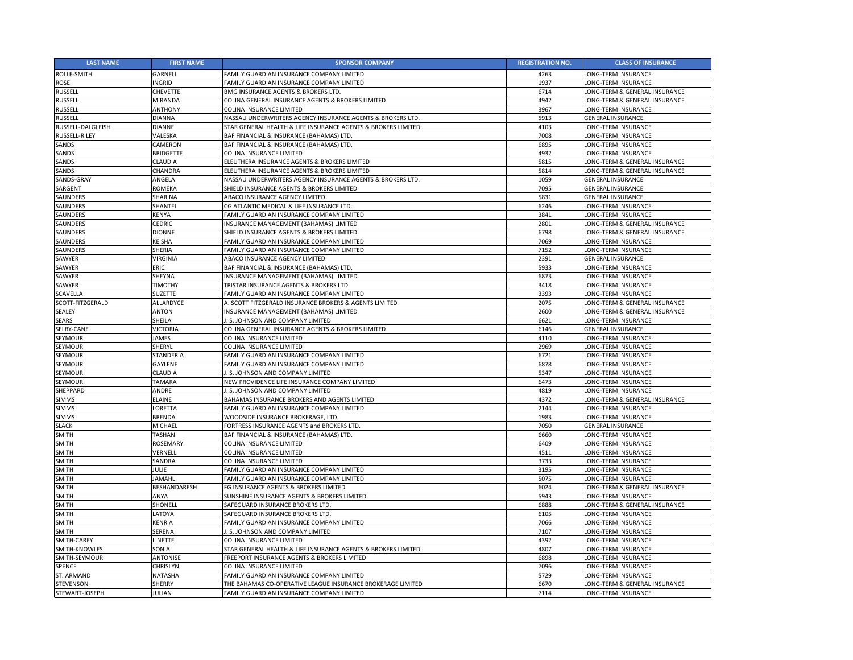| <b>LAST NAME</b>         | <b>FIRST NAME</b>       | <b>SPONSOR COMPANY</b>                                        | <b>REGISTRATION NO.</b> | <b>CLASS OF INSURANCE</b>     |
|--------------------------|-------------------------|---------------------------------------------------------------|-------------------------|-------------------------------|
| <b>ROLLE-SMITH</b>       | GARNELL                 | FAMILY GUARDIAN INSURANCE COMPANY LIMITED                     | 4263                    | LONG-TERM INSURANCE           |
| <b>ROSE</b>              | <b>INGRID</b>           | FAMILY GUARDIAN INSURANCE COMPANY LIMITED                     | 1937                    | LONG-TERM INSURANCE           |
| <b>RUSSELL</b>           | <b>CHEVETTE</b>         | BMG INSURANCE AGENTS & BROKERS LTD.                           | 6714                    | LONG-TERM & GENERAL INSURANCE |
| <b>RUSSELL</b>           | MIRANDA                 | COLINA GENERAL INSURANCE AGENTS & BROKERS LIMITED             | 4942                    | LONG-TERM & GENERAL INSURANCE |
| <b>RUSSELL</b>           | <b>ANTHONY</b>          | <b>COLINA INSURANCE LIMITED</b>                               | 3967                    | LONG-TERM INSURANCE           |
| <b>RUSSELL</b>           | <b>DIANNA</b>           | NASSAU UNDERWRITERS AGENCY INSURANCE AGENTS & BROKERS LTD.    | 5913                    | <b>GENERAL INSURANCE</b>      |
| <b>RUSSELL-DALGLEISH</b> | <b>DIANNE</b>           | STAR GENERAL HEALTH & LIFE INSURANCE AGENTS & BROKERS LIMITED | 4103                    | <b>LONG-TERM INSURANCE</b>    |
| <b>RUSSELL-RILEY</b>     | VALESKA                 | BAF FINANCIAL & INSURANCE (BAHAMAS) LTD.                      | 7008                    | LONG-TERM INSURANCE           |
| <b>SANDS</b>             | CAMERON                 | BAF FINANCIAL & INSURANCE (BAHAMAS) LTD.                      | 6895                    | <b>LONG-TERM INSURANCE</b>    |
| <b>SANDS</b>             | <b>BRIDGETTE</b>        | <b>COLINA INSURANCE LIMITED</b>                               | 4932                    | LONG-TERM INSURANCE           |
| <b>SANDS</b>             | CLAUDIA                 | ELEUTHERA INSURANCE AGENTS & BROKERS LIMITED                  | 5815                    | LONG-TERM & GENERAL INSURANCE |
| <b>SANDS</b>             | CHANDRA                 | ELEUTHERA INSURANCE AGENTS & BROKERS LIMITED                  | 5814                    | LONG-TERM & GENERAL INSURANCE |
| SANDS-GRAY               | ANGELA                  | NASSAU UNDERWRITERS AGENCY INSURANCE AGENTS & BROKERS LTD.    | 1059                    | <b>GENERAL INSURANCE</b>      |
| SARGENT                  | <b>ROMEKA</b>           | SHIELD INSURANCE AGENTS & BROKERS LIMITED                     | 7095                    | <b>GENERAL INSURANCE</b>      |
| <b>SAUNDERS</b>          | <b>SHARINA</b>          | ABACO INSURANCE AGENCY LIMITED                                | 5831                    | <b>GENERAL INSURANCE</b>      |
| <b>SAUNDERS</b>          | SHANTEL                 | CG ATLANTIC MEDICAL & LIFE INSURANCE LTD.                     | 6246                    | LONG-TERM INSURANCE           |
| <b>SAUNDERS</b>          | KENYA                   | FAMILY GUARDIAN INSURANCE COMPANY LIMITED                     | 3841                    | <b>LONG-TERM INSURANCE</b>    |
| <b>SAUNDERS</b>          | <b>CEDRIC</b>           | INSURANCE MANAGEMENT (BAHAMAS) LIMITED                        | 2801                    | LONG-TERM & GENERAL INSURANCE |
| <b>SAUNDERS</b>          | <b>DIONNE</b>           | SHIELD INSURANCE AGENTS & BROKERS LIMITED                     | 6798                    | LONG-TERM & GENERAL INSURANCE |
| <b>SAUNDERS</b>          | <b>KEISHA</b>           | FAMILY GUARDIAN INSURANCE COMPANY LIMITED                     | 7069                    | LONG-TERM INSURANCE           |
| <b>SAUNDERS</b>          | SHERIA                  | FAMILY GUARDIAN INSURANCE COMPANY LIMITED                     | 7152                    | LONG-TERM INSURANCE           |
|                          |                         |                                                               |                         |                               |
| SAWYER                   | VIRGINIA<br><b>ERIC</b> | ABACO INSURANCE AGENCY LIMITED                                | 2391                    | <b>GENERAL INSURANCE</b>      |
| SAWYER                   |                         | BAF FINANCIAL & INSURANCE (BAHAMAS) LTD.                      | 5933                    | LONG-TERM INSURANCE           |
| SAWYER                   | <b>SHEYNA</b>           | INSURANCE MANAGEMENT (BAHAMAS) LIMITED                        | 6873                    | LONG-TERM INSURANCE           |
| SAWYER                   | <b>TIMOTHY</b>          | TRISTAR INSURANCE AGENTS & BROKERS LTD.                       | 3418                    | LONG-TERM INSURANCE           |
| <b>SCAVELLA</b>          | <b>SUZETTE</b>          | FAMILY GUARDIAN INSURANCE COMPANY LIMITED                     | 3393                    | LONG-TERM INSURANCE           |
| SCOTT-FITZGERALD         | <b>ALLARDYCE</b>        | A. SCOTT FITZGERALD INSURANCE BROKERS & AGENTS LIMITED        | 2075                    | LONG-TERM & GENERAL INSURANCE |
| <b>SEALEY</b>            | <b>ANTON</b>            | INSURANCE MANAGEMENT (BAHAMAS) LIMITED                        | 2600                    | LONG-TERM & GENERAL INSURANCE |
| <b>SEARS</b>             | SHEILA                  | . S. JOHNSON AND COMPANY LIMITED                              | 6621                    | LONG-TERM INSURANCE           |
| SELBY-CANE               | <b>VICTORIA</b>         | COLINA GENERAL INSURANCE AGENTS & BROKERS LIMITED             | 6146                    | <b>GENERAL INSURANCE</b>      |
| <b>SEYMOUR</b>           | <b>JAMES</b>            | <b>COLINA INSURANCE LIMITED</b>                               | 4110                    | LONG-TERM INSURANCE           |
| <b>SEYMOUR</b>           | <b>SHERYL</b>           | <b>COLINA INSURANCE LIMITED</b>                               | 2969                    | LONG-TERM INSURANCE           |
| <b>SEYMOUR</b>           | <b>STANDERIA</b>        | FAMILY GUARDIAN INSURANCE COMPANY LIMITED                     | 6721                    | LONG-TERM INSURANCE           |
| <b>SEYMOUR</b>           | <b>GAYLENE</b>          | FAMILY GUARDIAN INSURANCE COMPANY LIMITED                     | 6878                    | <b>LONG-TERM INSURANCE</b>    |
| <b>SEYMOUR</b>           | CLAUDIA                 | . S. JOHNSON AND COMPANY LIMITED                              | 5347                    | LONG-TERM INSURANCE           |
| <b>SEYMOUR</b>           | <b>TAMARA</b>           | NEW PROVIDENCE LIFE INSURANCE COMPANY LIMITED                 | 6473                    | <b>LONG-TERM INSURANCE</b>    |
| SHEPPARD                 | ANDRE                   | I. S. JOHNSON AND COMPANY LIMITED                             | 4819                    | LONG-TERM INSURANCE           |
| <b>SIMMS</b>             | <b>ELAINE</b>           | <b>BAHAMAS INSURANCE BROKERS AND AGENTS LIMITED</b>           | 4372                    | LONG-TERM & GENERAL INSURANCE |
| <b>SIMMS</b>             | LORETTA                 | FAMILY GUARDIAN INSURANCE COMPANY LIMITED                     | 2144                    | LONG-TERM INSURANCE           |
| <b>SIMMS</b>             | <b>BRENDA</b>           | WOODSIDE INSURANCE BROKERAGE, LTD.                            | 1983                    | LONG-TERM INSURANCE           |
| <b>SLACK</b>             | MICHAEL                 | FORTRESS INSURANCE AGENTS and BROKERS LTD.                    | 7050                    | <b>GENERAL INSURANCE</b>      |
| <b>SMITH</b>             | TASHAN                  | BAF FINANCIAL & INSURANCE (BAHAMAS) LTD.                      | 6660                    | LONG-TERM INSURANCE           |
| <b>SMITH</b>             | <b>ROSEMARY</b>         | <b>COLINA INSURANCE LIMITED</b>                               | 6409                    | LONG-TERM INSURANCE           |
| <b>SMITH</b>             | VERNELL                 | <b>COLINA INSURANCE LIMITED</b>                               | 4511                    | LONG-TERM INSURANCE           |
| <b>SMITH</b>             | SANDRA                  | <b>COLINA INSURANCE LIMITED</b>                               | 3733                    | LONG-TERM INSURANCE           |
| <b>SMITH</b>             | <b>JULIE</b>            | FAMILY GUARDIAN INSURANCE COMPANY LIMITED                     | 3195                    | LONG-TERM INSURANCE           |
| <b>SMITH</b>             | <b>JAMAHL</b>           | FAMILY GUARDIAN INSURANCE COMPANY LIMITED                     | 5075                    | LONG-TERM INSURANCE           |
| <b>SMITH</b>             | BESHANDARESH            | FG INSURANCE AGENTS & BROKERS LIMITED                         | 6024                    | LONG-TERM & GENERAL INSURANCE |
| <b>SMITH</b>             | ANYA                    | SUNSHINE INSURANCE AGENTS & BROKERS LIMITED                   | 5943                    | LONG-TERM INSURANCE           |
| <b>SMITH</b>             | SHONELL                 | SAFEGUARD INSURANCE BROKERS LTD.                              | 6888                    | LONG-TERM & GENERAL INSURANCE |
| <b>SMITH</b>             | LATOYA                  | SAFEGUARD INSURANCE BROKERS LTD.                              | 6105                    | LONG-TERM INSURANCE           |
| <b>SMITH</b>             | <b>KENRIA</b>           | FAMILY GUARDIAN INSURANCE COMPANY LIMITED                     | 7066                    | LONG-TERM INSURANCE           |
| <b>SMITH</b>             | <b>SERENA</b>           | . S. JOHNSON AND COMPANY LIMITED                              | 7107                    | LONG-TERM INSURANCE           |
| SMITH-CAREY              | <b>INETTE</b>           | <b>COLINA INSURANCE LIMITED</b>                               | 4392                    | LONG-TERM INSURANCE           |
| SMITH-KNOWLES            | SONIA                   | STAR GENERAL HEALTH & LIFE INSURANCE AGENTS & BROKERS LIMITED | 4807                    | <b>LONG-TERM INSURANCE</b>    |
| SMITH-SEYMOUR            | <b>ANTONISE</b>         | FREEPORT INSURANCE AGENTS & BROKERS LIMITED                   | 6898                    | LONG-TERM INSURANCE           |
| <b>SPENCE</b>            | <b>CHRISLYN</b>         | <b>COLINA INSURANCE LIMITED</b>                               | 7096                    | LONG-TERM INSURANCE           |
| ST. ARMAND               | <b>NATASHA</b>          | FAMILY GUARDIAN INSURANCE COMPANY LIMITED                     | 5729                    | LONG-TERM INSURANCE           |
| <b>STEVENSON</b>         | <b>SHERRY</b>           | THE BAHAMAS CO-OPERATIVE LEAGUE INSURANCE BROKERAGE LIMITED   | 6670                    | LONG-TERM & GENERAL INSURANCE |
| STEWART-JOSEPH           | JULIAN                  | FAMILY GUARDIAN INSURANCE COMPANY LIMITED                     | 7114                    | LONG-TERM INSURANCE           |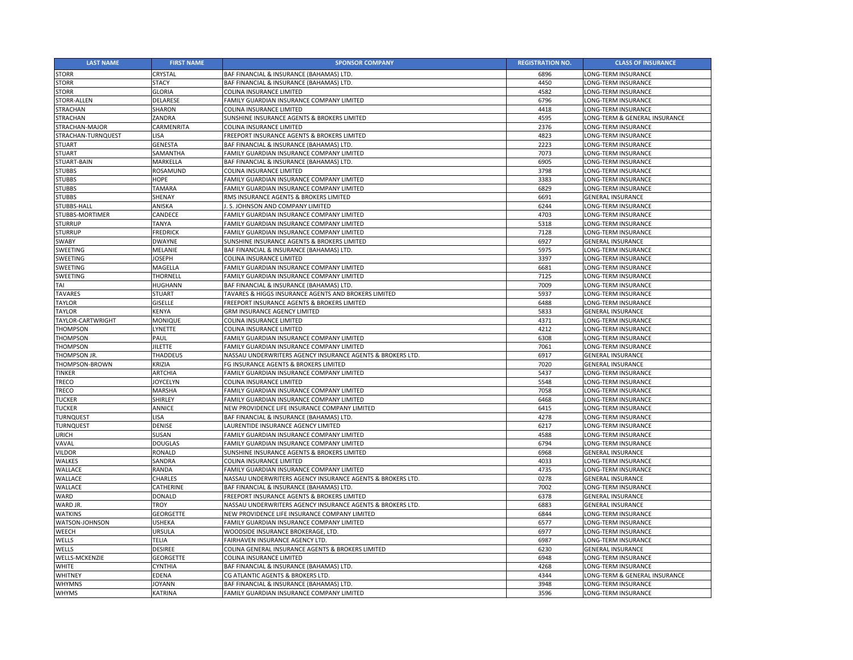| <b>LAST NAME</b>         | <b>FIRST NAME</b> | <b>SPONSOR COMPANY</b>                                     | <b>REGISTRATION NO.</b> | <b>CLASS OF INSURANCE</b>     |
|--------------------------|-------------------|------------------------------------------------------------|-------------------------|-------------------------------|
| <b>STORR</b>             | <b>CRYSTAL</b>    | BAF FINANCIAL & INSURANCE (BAHAMAS) LTD.                   | 6896                    | LONG-TERM INSURANCE           |
| <b>STORR</b>             | <b>STACY</b>      | BAF FINANCIAL & INSURANCE (BAHAMAS) LTD.                   | 4450                    | LONG-TERM INSURANCE           |
| <b>STORR</b>             | <b>GLORIA</b>     | COLINA INSURANCE LIMITED                                   | 4582                    | LONG-TERM INSURANCE           |
| STORR-ALLEN              | <b>DELARESE</b>   | FAMILY GUARDIAN INSURANCE COMPANY LIMITED                  | 6796                    | <b>LONG-TERM INSURANCE</b>    |
| <b>STRACHAN</b>          | <b>SHARON</b>     | <b>COLINA INSURANCE LIMITED</b>                            | 4418                    | LONG-TERM INSURANCE           |
| <b>STRACHAN</b>          | <b>ZANDRA</b>     | SUNSHINE INSURANCE AGENTS & BROKERS LIMITED                | 4595                    | LONG-TERM & GENERAL INSURANCE |
| <b>STRACHAN-MAJOR</b>    | <b>CARMENRITA</b> | <b>COLINA INSURANCE LIMITED</b>                            | 2376                    | <b>LONG-TERM INSURANCE</b>    |
| STRACHAN-TURNQUEST       | <b>LISA</b>       | <b>FREEPORT INSURANCE AGENTS &amp; BROKERS LIMITED</b>     | 4823                    | <b>LONG-TERM INSURANCE</b>    |
| <b>STUART</b>            | <b>GENESTA</b>    | BAF FINANCIAL & INSURANCE (BAHAMAS) LTD.                   | 2223                    | <b>LONG-TERM INSURANCE</b>    |
| <b>STUART</b>            | <b>SAMANTHA</b>   | <b>FAMILY GUARDIAN INSURANCE COMPANY LIMITED</b>           | 7073                    | LONG-TERM INSURANCE           |
| STUART-BAIN              | MARKELLA          | BAF FINANCIAL & INSURANCE (BAHAMAS) LTD.                   | 6905                    | LONG-TERM INSURANCE           |
| <b>STUBBS</b>            | <b>ROSAMUND</b>   | <b>COLINA INSURANCE LIMITED</b>                            | 3798                    | LONG-TERM INSURANCE           |
| <b>STUBBS</b>            | <b>HOPE</b>       | FAMILY GUARDIAN INSURANCE COMPANY LIMITED                  | 3383                    | LONG-TERM INSURANCE           |
| <b>STUBBS</b>            | <b>TAMARA</b>     | <b>FAMILY GUARDIAN INSURANCE COMPANY LIMITED</b>           | 6829                    | LONG-TERM INSURANCE           |
| <b>STUBBS</b>            | SHENAY            | <b>RMS INSURANCE AGENTS &amp; BROKERS LIMITED</b>          | 6691                    | <b>GENERAL INSURANCE</b>      |
| STUBBS-HALL              | ANISKA            | . S. JOHNSON AND COMPANY LIMITED                           | 6244                    | LONG-TERM INSURANCE           |
| <b>STUBBS-MORTIMER</b>   | CANDECE           | FAMILY GUARDIAN INSURANCE COMPANY LIMITED                  | 4703                    | LONG-TERM INSURANCE           |
| <b>STURRUP</b>           | <b>TANYA</b>      | <b>FAMILY GUARDIAN INSURANCE COMPANY LIMITED</b>           | 5318                    | <b>LONG-TERM INSURANCE</b>    |
| <b>STURRUP</b>           | <b>FREDRICK</b>   | FAMILY GUARDIAN INSURANCE COMPANY LIMITED                  | 7128                    | LONG-TERM INSURANCE           |
| <b>SWABY</b>             | <b>DWAYNE</b>     | <b>SUNSHINE INSURANCE AGENTS &amp; BROKERS LIMITED</b>     | 6927                    | <b>GENERAL INSURANCE</b>      |
| <b>SWEETING</b>          | MELANIE           | BAF FINANCIAL & INSURANCE (BAHAMAS) LTD.                   | 5975                    | LONG-TERM INSURANCE           |
| <b>SWEETING</b>          | <b>JOSEPH</b>     | <b>COLINA INSURANCE LIMITED</b>                            | 3397                    | LONG-TERM INSURANCE           |
| <b>SWEETING</b>          | <b>MAGELLA</b>    | <b>FAMILY GUARDIAN INSURANCE COMPANY LIMITED</b>           | 6681                    | LONG-TERM INSURANCE           |
| <b>SWEETING</b>          | <b>THORNELL</b>   | FAMILY GUARDIAN INSURANCE COMPANY LIMITED                  | 7125                    | LONG-TERM INSURANCE           |
| TAI                      | <b>HUGHANN</b>    | BAF FINANCIAL & INSURANCE (BAHAMAS) LTD.                   | 7009                    | <b>LONG-TERM INSURANCE</b>    |
| <b>TAVARES</b>           | <b>STUART</b>     | TAVARES & HIGGS INSURANCE AGENTS AND BROKERS LIMITED       | 5937                    | LONG-TERM INSURANCE           |
| <b>TAYLOR</b>            | <b>GISELLE</b>    | <b>FREEPORT INSURANCE AGENTS &amp; BROKERS LIMITED</b>     | 6488                    | LONG-TERM INSURANCE           |
| <b>TAYLOR</b>            | <b>KENYA</b>      | <b>GRM INSURANCE AGENCY LIMITED</b>                        | 5833                    | <b>GENERAL INSURANCE</b>      |
| <b>TAYLOR-CARTWRIGHT</b> | <b>MONIQUE</b>    | <b>COLINA INSURANCE LIMITED</b>                            | 4371                    | LONG-TERM INSURANCE           |
| <b>THOMPSON</b>          | <b>LYNETTE</b>    | <b>COLINA INSURANCE LIMITED</b>                            | 4212                    | LONG-TERM INSURANCE           |
| <b>THOMPSON</b>          | PAUL              | <b>FAMILY GUARDIAN INSURANCE COMPANY LIMITED</b>           | 6308                    | LONG-TERM INSURANCE           |
| <b>THOMPSON</b>          | <b>JILETTE</b>    | FAMILY GUARDIAN INSURANCE COMPANY LIMITED                  | 7061                    | LONG-TERM INSURANCE           |
| THOMPSON JR.             | <b>THADDEUS</b>   | NASSAU UNDERWRITERS AGENCY INSURANCE AGENTS & BROKERS LTD. | 6917                    | <b>GENERAL INSURANCE</b>      |
| THOMPSON-BROWN           | <b>KRIZIA</b>     | FG INSURANCE AGENTS & BROKERS LIMITED                      | 7020                    | <b>GENERAL INSURANCE</b>      |
| <b>TINKER</b>            | <b>ARTCHIA</b>    | <b>FAMILY GUARDIAN INSURANCE COMPANY LIMITED</b>           | 5437                    | <b>LONG-TERM INSURANCE</b>    |
| <b>TRECO</b>             | <b>JOYCELYN</b>   | <b>COLINA INSURANCE LIMITED</b>                            | 5548                    | <b>LONG-TERM INSURANCE</b>    |
| <b>TRECO</b>             | <b>MARSHA</b>     | FAMILY GUARDIAN INSURANCE COMPANY LIMITED                  | 7058                    | LONG-TERM INSURANCE           |
| <b>TUCKER</b>            | <b>SHIRLEY</b>    | <b>FAMILY GUARDIAN INSURANCE COMPANY LIMITED</b>           | 6468                    | LONG-TERM INSURANCE           |
| <b>TUCKER</b>            | <b>ANNICE</b>     | NEW PROVIDENCE LIFE INSURANCE COMPANY LIMITED              | 6415                    | LONG-TERM INSURANCE           |
| <b>TURNQUEST</b>         | <b>LISA</b>       | BAF FINANCIAL & INSURANCE (BAHAMAS) LTD.                   | 4278                    | LONG-TERM INSURANCE           |
| <b>TURNQUEST</b>         | <b>DENISE</b>     | LAURENTIDE INSURANCE AGENCY LIMITED                        | 6217                    | LONG-TERM INSURANCE           |
| <b>URICH</b>             | SUSAN             | FAMILY GUARDIAN INSURANCE COMPANY LIMITED                  | 4588                    | LONG-TERM INSURANCE           |
| VAVAL                    | <b>DOUGLAS</b>    | <b>FAMILY GUARDIAN INSURANCE COMPANY LIMITED</b>           | 6794                    | <b>LONG-TERM INSURANCE</b>    |
| <b>VILDOR</b>            | <b>RONALD</b>     | SUNSHINE INSURANCE AGENTS & BROKERS LIMITED                | 6968                    | <b>GENERAL INSURANCE</b>      |
| <b>WALKES</b>            | <b>SANDRA</b>     | <b>COLINA INSURANCE LIMITED</b>                            | 4033                    | LONG-TERM INSURANCE           |
| <b>WALLACE</b>           | RANDA             | FAMILY GUARDIAN INSURANCE COMPANY LIMITED                  | 4735                    | LONG-TERM INSURANCE           |
| <b>WALLACE</b>           | <b>CHARLES</b>    | NASSAU UNDERWRITERS AGENCY INSURANCE AGENTS & BROKERS LTD. | 0278                    | <b>GENERAL INSURANCE</b>      |
| <b>WALLACE</b>           | <b>CATHERINE</b>  | BAF FINANCIAL & INSURANCE (BAHAMAS) LTD.                   | 7002                    | <b>LONG-TERM INSURANCE</b>    |
| <b>WARD</b>              | <b>DONALD</b>     | <b>IFREEPORT INSURANCE AGENTS &amp; BROKERS LIMITED</b>    | 6378                    | <b>GENERAL INSURANCE</b>      |
| WARD JR.                 | <b>TROY</b>       | NASSAU UNDERWRITERS AGENCY INSURANCE AGENTS & BROKERS LTD. | 6883                    | <b>GENERAL INSURANCE</b>      |
| <b>WATKINS</b>           | <b>GEORGETTE</b>  |                                                            | 6844                    |                               |
|                          |                   | NEW PROVIDENCE LIFE INSURANCE COMPANY LIMITED              |                         | LONG-TERM INSURANCE           |
| <b>WATSON-JOHNSON</b>    | <b>USHEKA</b>     | FAMILY GUARDIAN INSURANCE COMPANY LIMITED                  | 6577                    | LONG-TERM INSURANCE           |
| <b>WEECH</b>             | <b>URSULA</b>     | WOODSIDE INSURANCE BROKERAGE, LTD.                         | 6977                    | LONG-TERM INSURANCE           |
| <b>WELLS</b>             | <b>TELIA</b>      | <b>FAIRHAVEN INSURANCE AGENCY LTD.</b>                     | 6987                    | LONG-TERM INSURANCE           |
| <b>WELLS</b>             | <b>DESIREE</b>    | COLINA GENERAL INSURANCE AGENTS & BROKERS LIMITED          | 6230                    | <b>GENERAL INSURANCE</b>      |
| <b>WELLS-MCKENZIE</b>    | <b>GEORGETTE</b>  | <b>COLINA INSURANCE LIMITED</b>                            | 6948                    | LONG-TERM INSURANCE           |
| <b>WHITE</b>             | <b>CYNTHIA</b>    | BAF FINANCIAL & INSURANCE (BAHAMAS) LTD.                   | 4268                    | LONG-TERM INSURANCE           |
| <b>WHITNEY</b>           | <b>EDENA</b>      | <b>CG ATLANTIC AGENTS &amp; BROKERS LTD.</b>               | 4344                    | LONG-TERM & GENERAL INSURANCE |
| <b>WHYMNS</b>            | <b>JOYANN</b>     | BAF FINANCIAL & INSURANCE (BAHAMAS) LTD.                   | 3948                    | LONG-TERM INSURANCE           |
| <b>WHYMS</b>             | KATRINA           | FAMILY GUARDIAN INSURANCE COMPANY LIMITED                  | 3596                    | LONG-TERM INSURANCE           |